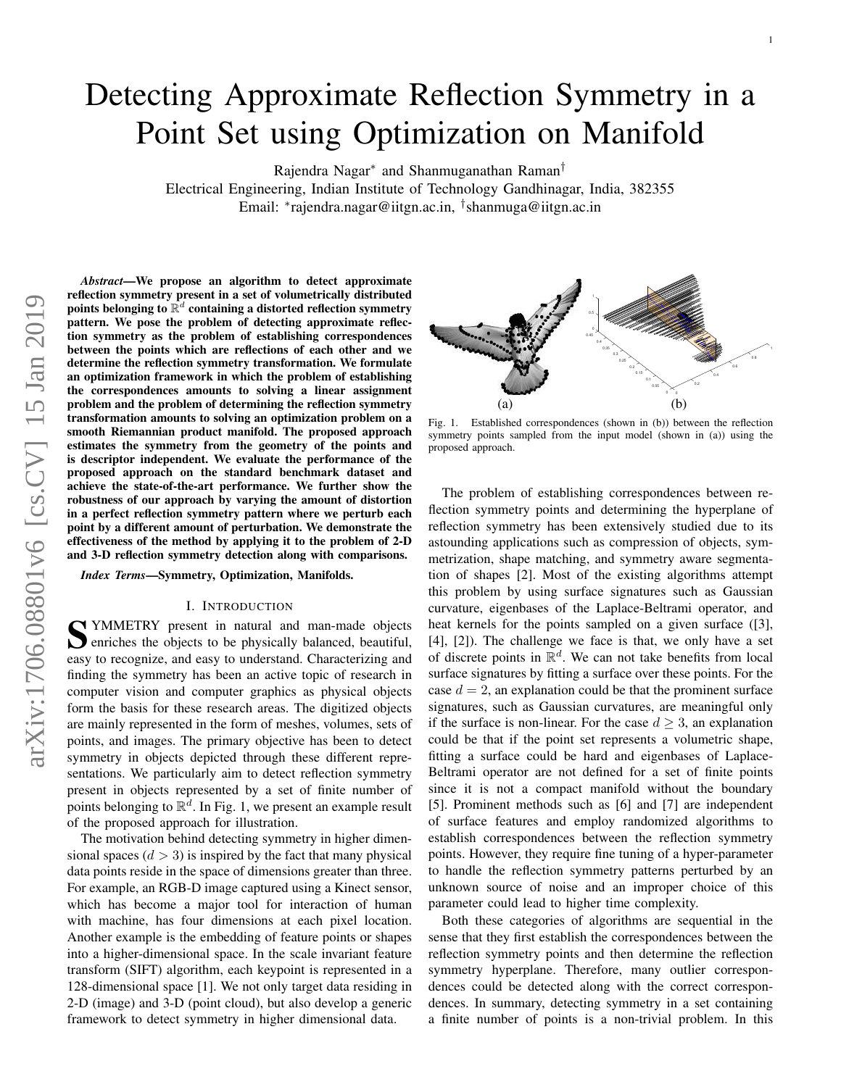# Detecting Approximate Reflection Symmetry in a Point Set using Optimization on Manifold

Rajendra Nagar<sup>∗</sup> and Shanmuganathan Raman†

Electrical Engineering, Indian Institute of Technology Gandhinagar, India, 382355 Email: <sup>∗</sup> rajendra.nagar@iitgn.ac.in, † shanmuga@iitgn.ac.in

*Abstract*—We propose an algorithm to detect approximate reflection symmetry present in a set of volumetrically distributed points belonging to  $\mathbb{R}^d$  containing a distorted reflection symmetry pattern. We pose the problem of detecting approximate reflection symmetry as the problem of establishing correspondences between the points which are reflections of each other and we determine the reflection symmetry transformation. We formulate an optimization framework in which the problem of establishing the correspondences amounts to solving a linear assignment problem and the problem of determining the reflection symmetry transformation amounts to solving an optimization problem on a smooth Riemannian product manifold. The proposed approach estimates the symmetry from the geometry of the points and is descriptor independent. We evaluate the performance of the proposed approach on the standard benchmark dataset and achieve the state-of-the-art performance. We further show the robustness of our approach by varying the amount of distortion in a perfect reflection symmetry pattern where we perturb each point by a different amount of perturbation. We demonstrate the effectiveness of the method by applying it to the problem of 2-D and 3-D reflection symmetry detection along with comparisons.

*Index Terms*—Symmetry, Optimization, Manifolds.

#### I. INTRODUCTION

S YMMETRY present in natural and man-made objects enriches the objects to be physically balanced, beautiful, enriches the objects to be physically balanced, beautiful, easy to recognize, and easy to understand. Characterizing and finding the symmetry has been an active topic of research in computer vision and computer graphics as physical objects form the basis for these research areas. The digitized objects are mainly represented in the form of meshes, volumes, sets of points, and images. The primary objective has been to detect symmetry in objects depicted through these different representations. We particularly aim to detect reflection symmetry present in objects represented by a set of finite number of points belonging to  $\mathbb{R}^d$ . In Fig. 1, we present an example result of the proposed approach for illustration.

The motivation behind detecting symmetry in higher dimensional spaces  $(d > 3)$  is inspired by the fact that many physical data points reside in the space of dimensions greater than three. For example, an RGB-D image captured using a Kinect sensor, which has become a major tool for interaction of human with machine, has four dimensions at each pixel location. Another example is the embedding of feature points or shapes into a higher-dimensional space. In the scale invariant feature transform (SIFT) algorithm, each keypoint is represented in a 128-dimensional space [1]. We not only target data residing in 2-D (image) and 3-D (point cloud), but also develop a generic framework to detect symmetry in higher dimensional data.



Fig. 1. Established correspondences (shown in (b)) between the reflection symmetry points sampled from the input model (shown in (a)) using the proposed approach.

The problem of establishing correspondences between reflection symmetry points and determining the hyperplane of reflection symmetry has been extensively studied due to its astounding applications such as compression of objects, symmetrization, shape matching, and symmetry aware segmentation of shapes [2]. Most of the existing algorithms attempt this problem by using surface signatures such as Gaussian curvature, eigenbases of the Laplace-Beltrami operator, and heat kernels for the points sampled on a given surface ([3], [4], [2]). The challenge we face is that, we only have a set of discrete points in  $\mathbb{R}^d$ . We can not take benefits from local surface signatures by fitting a surface over these points. For the case  $d = 2$ , an explanation could be that the prominent surface signatures, such as Gaussian curvatures, are meaningful only if the surface is non-linear. For the case  $d \geq 3$ , an explanation could be that if the point set represents a volumetric shape, fitting a surface could be hard and eigenbases of Laplace-Beltrami operator are not defined for a set of finite points since it is not a compact manifold without the boundary [5]. Prominent methods such as [6] and [7] are independent of surface features and employ randomized algorithms to establish correspondences between the reflection symmetry points. However, they require fine tuning of a hyper-parameter to handle the reflection symmetry patterns perturbed by an unknown source of noise and an improper choice of this parameter could lead to higher time complexity.

Both these categories of algorithms are sequential in the sense that they first establish the correspondences between the reflection symmetry points and then determine the reflection symmetry hyperplane. Therefore, many outlier correspondences could be detected along with the correct correspondences. In summary, detecting symmetry in a set containing a finite number of points is a non-trivial problem. In this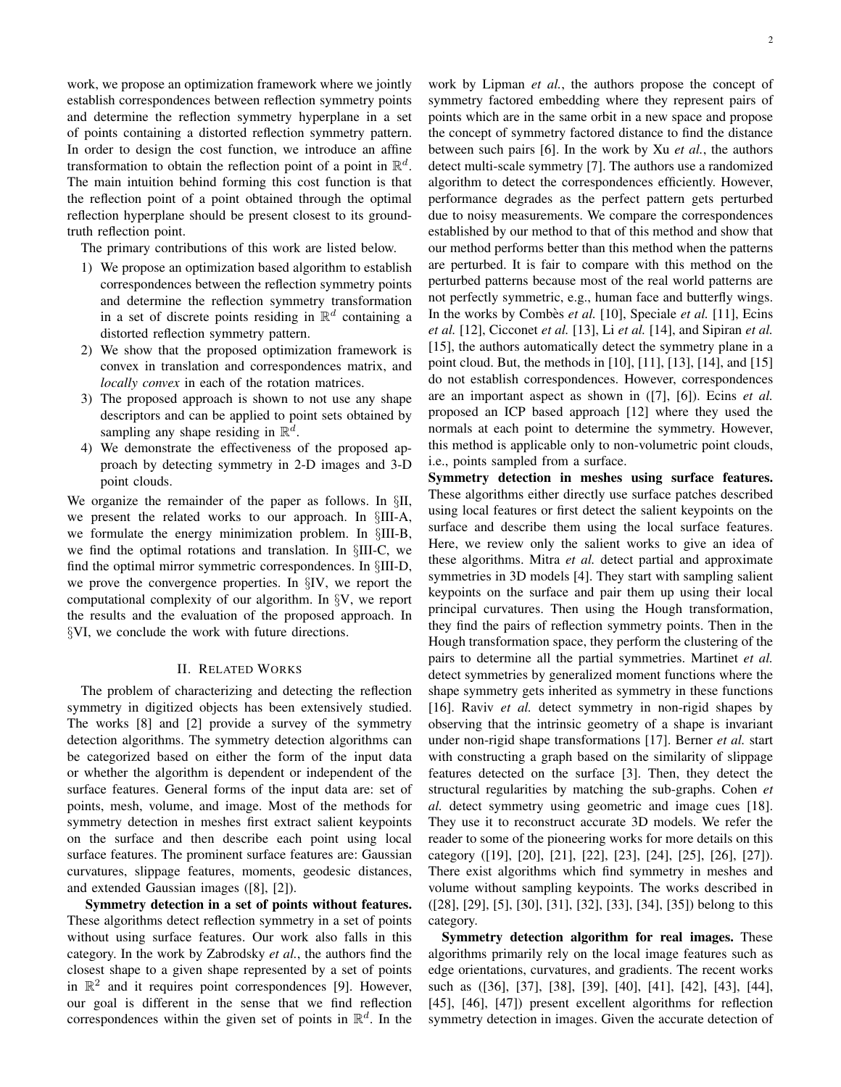work, we propose an optimization framework where we jointly establish correspondences between reflection symmetry points and determine the reflection symmetry hyperplane in a set of points containing a distorted reflection symmetry pattern. In order to design the cost function, we introduce an affine transformation to obtain the reflection point of a point in  $\mathbb{R}^d$ . The main intuition behind forming this cost function is that the reflection point of a point obtained through the optimal reflection hyperplane should be present closest to its groundtruth reflection point.

The primary contributions of this work are listed below.

- 1) We propose an optimization based algorithm to establish correspondences between the reflection symmetry points and determine the reflection symmetry transformation in a set of discrete points residing in  $\mathbb{R}^d$  containing a distorted reflection symmetry pattern.
- 2) We show that the proposed optimization framework is convex in translation and correspondences matrix, and *locally convex* in each of the rotation matrices.
- 3) The proposed approach is shown to not use any shape descriptors and can be applied to point sets obtained by sampling any shape residing in  $\mathbb{R}^d$ .
- 4) We demonstrate the effectiveness of the proposed approach by detecting symmetry in 2-D images and 3-D point clouds.

We organize the remainder of the paper as follows. In §II, we present the related works to our approach. In §III-A, we formulate the energy minimization problem. In §III-B, we find the optimal rotations and translation. In §III-C, we find the optimal mirror symmetric correspondences. In §III-D, we prove the convergence properties. In §IV, we report the computational complexity of our algorithm. In §V, we report the results and the evaluation of the proposed approach. In §VI, we conclude the work with future directions.

#### II. RELATED WORKS

The problem of characterizing and detecting the reflection symmetry in digitized objects has been extensively studied. The works [8] and [2] provide a survey of the symmetry detection algorithms. The symmetry detection algorithms can be categorized based on either the form of the input data or whether the algorithm is dependent or independent of the surface features. General forms of the input data are: set of points, mesh, volume, and image. Most of the methods for symmetry detection in meshes first extract salient keypoints on the surface and then describe each point using local surface features. The prominent surface features are: Gaussian curvatures, slippage features, moments, geodesic distances, and extended Gaussian images ([8], [2]).

Symmetry detection in a set of points without features. These algorithms detect reflection symmetry in a set of points without using surface features. Our work also falls in this category. In the work by Zabrodsky *et al.*, the authors find the closest shape to a given shape represented by a set of points in  $\mathbb{R}^2$  and it requires point correspondences [9]. However, our goal is different in the sense that we find reflection correspondences within the given set of points in  $\mathbb{R}^d$ . In the work by Lipman *et al.*, the authors propose the concept of symmetry factored embedding where they represent pairs of points which are in the same orbit in a new space and propose the concept of symmetry factored distance to find the distance between such pairs [6]. In the work by Xu *et al.*, the authors detect multi-scale symmetry [7]. The authors use a randomized algorithm to detect the correspondences efficiently. However, performance degrades as the perfect pattern gets perturbed due to noisy measurements. We compare the correspondences established by our method to that of this method and show that our method performs better than this method when the patterns are perturbed. It is fair to compare with this method on the perturbed patterns because most of the real world patterns are not perfectly symmetric, e.g., human face and butterfly wings. In the works by Combès *et al.* [10], Speciale *et al.* [11], Ecins *et al.* [12], Cicconet *et al.* [13], Li *et al.* [14], and Sipiran *et al.* [15], the authors automatically detect the symmetry plane in a point cloud. But, the methods in [10], [11], [13], [14], and [15] do not establish correspondences. However, correspondences are an important aspect as shown in ([7], [6]). Ecins *et al.* proposed an ICP based approach [12] where they used the normals at each point to determine the symmetry. However, this method is applicable only to non-volumetric point clouds, i.e., points sampled from a surface.

Symmetry detection in meshes using surface features. These algorithms either directly use surface patches described using local features or first detect the salient keypoints on the surface and describe them using the local surface features. Here, we review only the salient works to give an idea of these algorithms. Mitra *et al.* detect partial and approximate symmetries in 3D models [4]. They start with sampling salient keypoints on the surface and pair them up using their local principal curvatures. Then using the Hough transformation, they find the pairs of reflection symmetry points. Then in the Hough transformation space, they perform the clustering of the pairs to determine all the partial symmetries. Martinet *et al.* detect symmetries by generalized moment functions where the shape symmetry gets inherited as symmetry in these functions [16]. Raviv *et al.* detect symmetry in non-rigid shapes by observing that the intrinsic geometry of a shape is invariant under non-rigid shape transformations [17]. Berner *et al.* start with constructing a graph based on the similarity of slippage features detected on the surface [3]. Then, they detect the structural regularities by matching the sub-graphs. Cohen *et al.* detect symmetry using geometric and image cues [18]. They use it to reconstruct accurate 3D models. We refer the reader to some of the pioneering works for more details on this category ([19], [20], [21], [22], [23], [24], [25], [26], [27]). There exist algorithms which find symmetry in meshes and volume without sampling keypoints. The works described in ([28], [29], [5], [30], [31], [32], [33], [34], [35]) belong to this category.

Symmetry detection algorithm for real images. These algorithms primarily rely on the local image features such as edge orientations, curvatures, and gradients. The recent works such as ([36], [37], [38], [39], [40], [41], [42], [43], [44], [45], [46], [47]) present excellent algorithms for reflection symmetry detection in images. Given the accurate detection of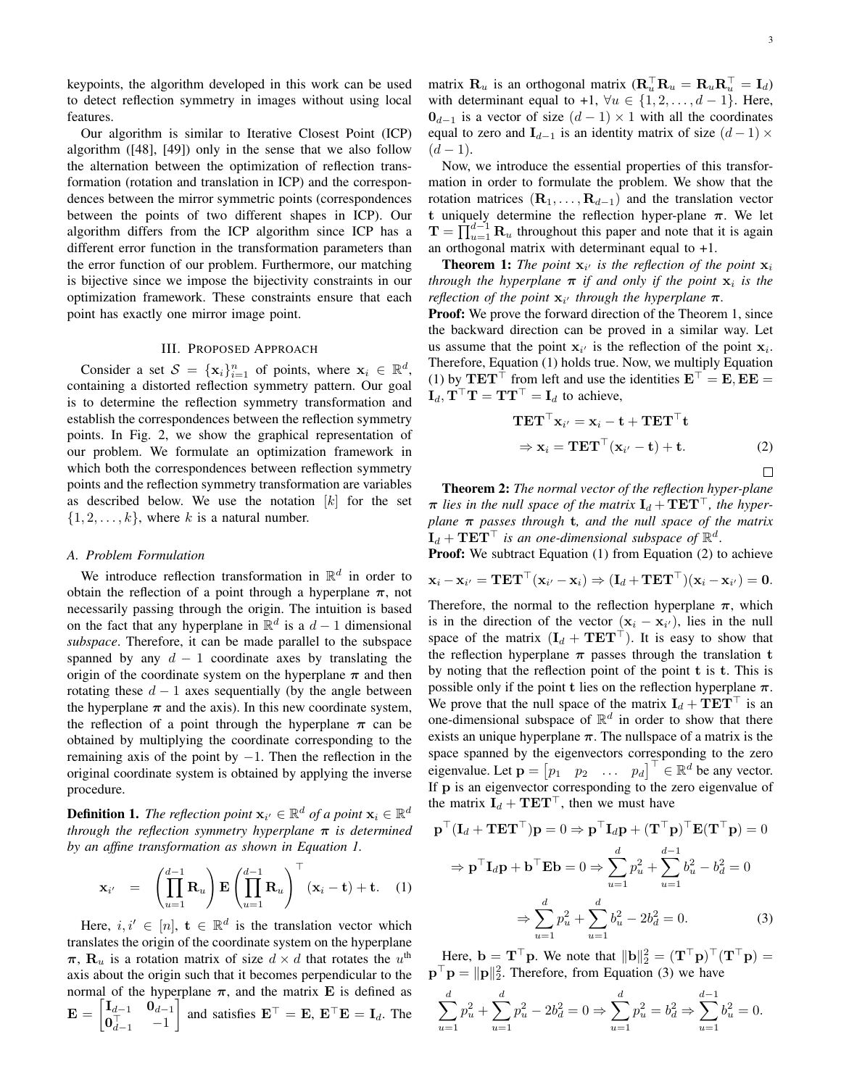keypoints, the algorithm developed in this work can be used to detect reflection symmetry in images without using local features.

Our algorithm is similar to Iterative Closest Point (ICP) algorithm ([48], [49]) only in the sense that we also follow the alternation between the optimization of reflection transformation (rotation and translation in ICP) and the correspondences between the mirror symmetric points (correspondences between the points of two different shapes in ICP). Our algorithm differs from the ICP algorithm since ICP has a different error function in the transformation parameters than the error function of our problem. Furthermore, our matching is bijective since we impose the bijectivity constraints in our optimization framework. These constraints ensure that each point has exactly one mirror image point.

# III. PROPOSED APPROACH

Consider a set  $S = {\mathbf{x}_i}_{i=1}^n$  of points, where  $\mathbf{x}_i \in \mathbb{R}^d$ , containing a distorted reflection symmetry pattern. Our goal is to determine the reflection symmetry transformation and establish the correspondences between the reflection symmetry points. In Fig. 2, we show the graphical representation of our problem. We formulate an optimization framework in which both the correspondences between reflection symmetry points and the reflection symmetry transformation are variables as described below. We use the notation  $[k]$  for the set  $\{1, 2, \ldots, k\}$ , where k is a natural number.

#### *A. Problem Formulation*

We introduce reflection transformation in  $\mathbb{R}^d$  in order to obtain the reflection of a point through a hyperplane  $\pi$ , not necessarily passing through the origin. The intuition is based on the fact that any hyperplane in  $\mathbb{R}^d$  is a  $d-1$  dimensional *subspace*. Therefore, it can be made parallel to the subspace spanned by any  $d - 1$  coordinate axes by translating the origin of the coordinate system on the hyperplane  $\pi$  and then rotating these  $d-1$  axes sequentially (by the angle between the hyperplane  $\pi$  and the axis). In this new coordinate system, the reflection of a point through the hyperplane  $\pi$  can be obtained by multiplying the coordinate corresponding to the remaining axis of the point by  $-1$ . Then the reflection in the original coordinate system is obtained by applying the inverse procedure.

**Definition 1.** The reflection point  $\mathbf{x}_{i'} \in \mathbb{R}^d$  of a point  $\mathbf{x}_i \in \mathbb{R}^d$ *through the reflection symmetry hyperplane* π *is determined by an affine transformation as shown in Equation 1.*

$$
\mathbf{x}_{i'} = \left(\prod_{u=1}^{d-1} \mathbf{R}_u\right) \mathbf{E} \left(\prod_{u=1}^{d-1} \mathbf{R}_u\right)^\top (\mathbf{x}_i - \mathbf{t}) + \mathbf{t}.
$$
 (1)

Here,  $i, i' \in [n]$ ,  $\mathbf{t} \in \mathbb{R}^d$  is the translation vector which translates the origin of the coordinate system on the hyperplane  $\pi$ ,  $\mathbf{R}_u$  is a rotation matrix of size  $d \times d$  that rotates the  $u^{\text{th}}$ axis about the origin such that it becomes perpendicular to the normal of the hyperplane  $\pi$ , and the matrix **E** is defined as  $\mathbf{E} = \begin{bmatrix} \mathbf{I}_{d-1} & \mathbf{0}_{d-1} \ \mathbf{0}_\top & 1 \end{bmatrix}$  $\mathbf{0}_{d-1}^{\top}$  -1 and satisfies  $\mathbf{E}^\top = \mathbf{E}, \ \mathbf{E}^\top \mathbf{E} = \mathbf{I}_d$ . The

matrix  $\mathbf{R}_u$  is an orthogonal matrix  $(\mathbf{R}_u^\top \mathbf{R}_u = \mathbf{R}_u \mathbf{R}_u^\top = \mathbf{I}_d)$ with determinant equal to +1,  $\forall u \in \{1, 2, ..., d - 1\}$ . Here,  $0_{d-1}$  is a vector of size  $(d-1) \times 1$  with all the coordinates equal to zero and  $\mathbf{I}_{d-1}$  is an identity matrix of size  $(d-1) \times$  $(d-1).$ 

Now, we introduce the essential properties of this transformation in order to formulate the problem. We show that the rotation matrices  $(\mathbf{R}_1, \ldots, \mathbf{R}_{d-1})$  and the translation vector t uniquely determine the reflection hyper-plane  $\pi$ . We let  $\mathbf{T} = \prod_{u=1}^{d-1} \mathbf{R}_u$  throughout this paper and note that it is again an orthogonal matrix with determinant equal to +1.

**Theorem 1:** The point  $\mathbf{x}_{i'}$  is the reflection of the point  $\mathbf{x}_{i}$ *through the hyperplane*  $\pi$  *if and only if the point*  $\mathbf{x}_i$  *is the reflection of the point*  $\mathbf{x}_{i'}$  *through the hyperplane*  $\pi$ *.* 

**Proof:** We prove the forward direction of the Theorem 1, since the backward direction can be proved in a similar way. Let us assume that the point  $x_i$  is the reflection of the point  $x_i$ . Therefore, Equation (1) holds true. Now, we multiply Equation (1) by TET<sup>⊤</sup> from left and use the identities  $E^{\top} = E$ , EE =  $\mathbf{I}_d$ ,  $\mathbf{T}^\top \mathbf{T} = \mathbf{T} \mathbf{T}^\top = \mathbf{I}_d$  to achieve,

$$
\mathbf{TET}^{\top} \mathbf{x}_{i'} = \mathbf{x}_i - \mathbf{t} + \mathbf{TET}^{\top} \mathbf{t}
$$
  
\n
$$
\Rightarrow \mathbf{x}_i = \mathbf{TET}^{\top} (\mathbf{x}_{i'} - \mathbf{t}) + \mathbf{t}.
$$
 (2)

Theorem 2: *The normal vector of the reflection hyper-plane*  $\pi$  *lies in the null space of the matrix*  $\mathbf{I}_d + \mathbf{T} \mathbf{E} \mathbf{T}^\top$ *, the hyperplane* π *passes through* t*, and the null space of the matrix*  $\mathbf{I}_d + \mathbf{T} \mathbf{E} \mathbf{T}^\top$  is an one-dimensional subspace of  $\mathbb{R}^d$ .

**Proof:** We subtract Equation (1) from Equation (2) to achieve

$$
\mathbf{x}_{i} - \mathbf{x}_{i'} = \mathbf{T} \mathbf{E} \mathbf{T}^{\top} (\mathbf{x}_{i'} - \mathbf{x}_{i}) \Rightarrow (\mathbf{I}_{d} + \mathbf{T} \mathbf{E} \mathbf{T}^{\top}) (\mathbf{x}_{i} - \mathbf{x}_{i'}) = \mathbf{0}.
$$

Therefore, the normal to the reflection hyperplane  $\pi$ , which is in the direction of the vector  $(x_i - x_{i'})$ , lies in the null space of the matrix  $(I_d + TET^{\top})$ . It is easy to show that the reflection hyperplane  $\pi$  passes through the translation t by noting that the reflection point of the point t is t. This is possible only if the point t lies on the reflection hyperplane  $\pi$ . We prove that the null space of the matrix  $\mathbf{I}_d + \mathbf{T} \mathbf{E} \mathbf{T}^\top$  is an one-dimensional subspace of  $\mathbb{R}^d$  in order to show that there exists an unique hyperplane  $\pi$ . The nullspace of a matrix is the space spanned by the eigenvectors corresponding to the zero eigenvalue. Let  $\mathbf{p} = \begin{bmatrix} p_1 & p_2 & \dots & p_d \end{bmatrix}^\top \in \mathbb{R}^d$  be any vector. If p is an eigenvector corresponding to the zero eigenvalue of the matrix  $\mathbf{I}_d + \mathbf{T} \mathbf{E} \mathbf{T}^\top$ , then we must have

$$
\mathbf{p}^{\top}(\mathbf{I}_d + \mathbf{T}\mathbf{E}\mathbf{T}^{\top})\mathbf{p} = 0 \Rightarrow \mathbf{p}^{\top}\mathbf{I}_d\mathbf{p} + (\mathbf{T}^{\top}\mathbf{p})^{\top}\mathbf{E}(\mathbf{T}^{\top}\mathbf{p}) = 0
$$

$$
\Rightarrow \mathbf{p}^{\top}\mathbf{I}_d\mathbf{p} + \mathbf{b}^{\top}\mathbf{E}\mathbf{b} = 0 \Rightarrow \sum_{u=1}^d p_u^2 + \sum_{u=1}^{d-1} b_u^2 - b_d^2 = 0
$$

$$
\Rightarrow \sum_{u=1}^d p_u^2 + \sum_{u=1}^d b_u^2 - 2b_d^2 = 0. \tag{3}
$$

Here,  $\mathbf{b} = \mathbf{T}^\top \mathbf{p}$ . We note that  $\|\mathbf{b}\|_2^2 = (\mathbf{T}^\top \mathbf{p})^\top (\mathbf{T}^\top \mathbf{p}) =$  $\mathbf{p}^\top \mathbf{p} = ||\mathbf{p}||_2^2$ . Therefore, from Equation (3) we have

$$
\sum_{u=1}^{d} p_u^2 + \sum_{u=1}^{d} p_u^2 - 2b_d^2 = 0 \Rightarrow \sum_{u=1}^{d} p_u^2 = b_d^2 \Rightarrow \sum_{u=1}^{d-1} b_u^2 = 0.
$$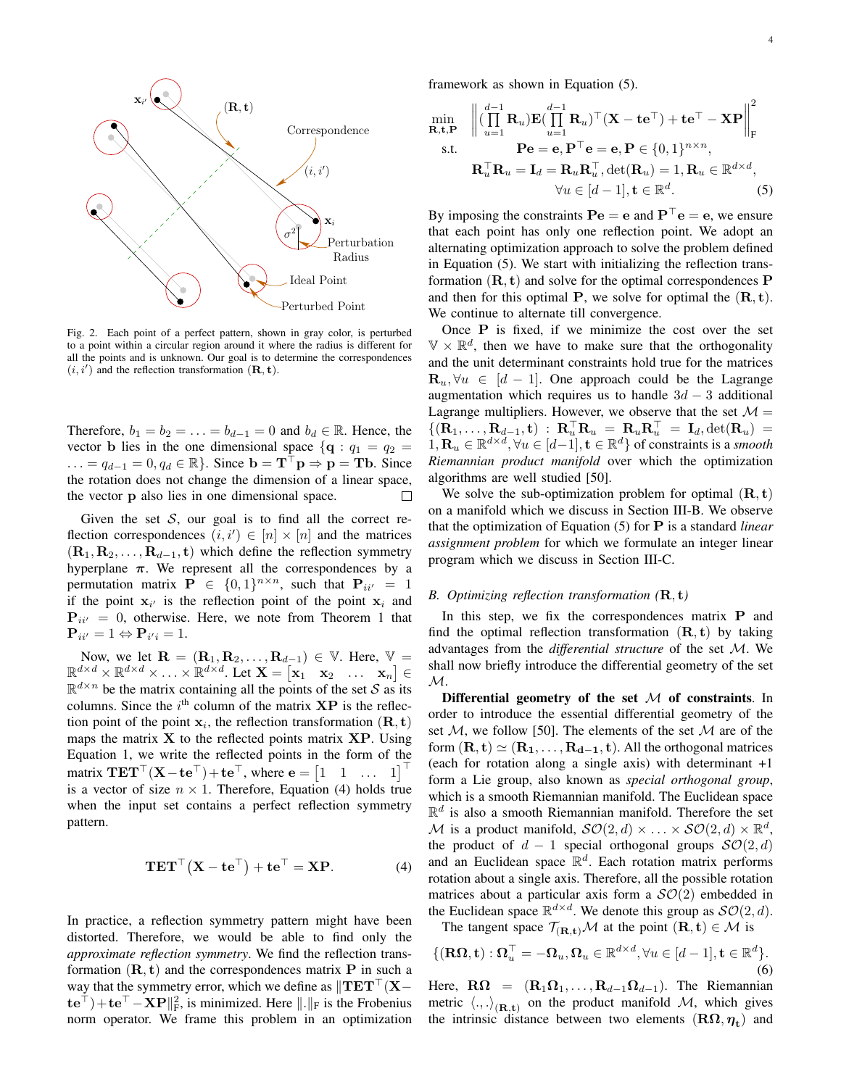

Fig. 2. Each point of a perfect pattern, shown in gray color, is perturbed to a point within a circular region around it where the radius is different for all the points and is unknown. Our goal is to determine the correspondences  $(i, i')$  and the reflection transformation  $(\mathbf{R}, \mathbf{t})$ .

Therefore,  $b_1 = b_2 = \ldots = b_{d-1} = 0$  and  $b_d \in \mathbb{R}$ . Hence, the vector **b** lies in the one dimensional space  $\{q : q_1 = q_2 =$  $\ldots = q_{d-1} = 0, q_d \in \mathbb{R}$ . Since  $\mathbf{b} = \mathbf{T}^\top \mathbf{p} \Rightarrow \mathbf{p} = \mathbf{T} \mathbf{b}$ . Since the rotation does not change the dimension of a linear space, the vector p also lies in one dimensional space.  $\Box$ 

Given the set  $S$ , our goal is to find all the correct reflection correspondences  $(i, i') \in [n] \times [n]$  and the matrices  $(R_1, R_2, \ldots, R_{d-1}, t)$  which define the reflection symmetry hyperplane  $\pi$ . We represent all the correspondences by a permutation matrix  $P \in \{0,1\}^{n \times n}$ , such that  $P_{ii'} = 1$ if the point  $x_{i'}$  is the reflection point of the point  $x_i$  and  $P_{ii'} = 0$ , otherwise. Here, we note from Theorem 1 that  ${\bf P}_{ii'}=1 \Leftrightarrow {\bf P}_{i'i}=1.$ 

Now, we let  $\mathbf{R} = (\mathbf{R}_1, \mathbf{R}_2, \dots, \mathbf{R}_{d-1}) \in \mathbb{V}$ . Here,  $\mathbb{V} =$  $\mathbb{R}^{d \times d} \times \mathbb{R}^{d \times d} \times \ldots \times \mathbb{R}^{d \times d}$ . Let  $\mathbf{X} = \begin{bmatrix} \mathbf{x}_1 & \mathbf{x}_2 & \ldots & \mathbf{x}_n \end{bmatrix} \in$  $\mathbb{R}^{d \times n}$  be the matrix containing all the points of the set S as its columns. Since the  $i<sup>th</sup>$  column of the matrix  $\mathbf{XP}$  is the reflection point of the point  $x_i$ , the reflection transformation  $(\mathbf{R}, \mathbf{t})$ maps the matrix  $X$  to the reflected points matrix  $XP$ . Using Equation 1, we write the reflected points in the form of the matrix  $TET^{\top}(\mathbf{X} - \mathbf{te}^{\top}) + \mathbf{te}^{\top}$ , where  $\mathbf{e} = \begin{bmatrix} 1 & 1 & \dots & 1 \end{bmatrix}^{\top}$ is a vector of size  $n \times 1$ . Therefore, Equation (4) holds true when the input set contains a perfect reflection symmetry pattern.

$$
\mathbf{TET}^{\top}(\mathbf{X} - \mathbf{te}^{\top}) + \mathbf{te}^{\top} = \mathbf{XP}.
$$
 (4)

In practice, a reflection symmetry pattern might have been distorted. Therefore, we would be able to find only the *approximate reflection symmetry*. We find the reflection transformation  $(\mathbf{R}, \mathbf{t})$  and the correspondences matrix **P** in such a way that the symmetry error, which we define as  $\Vert \mathbf{TET}^{\top}(\mathbf{X}-\mathbf{X})\Vert$  $\{ \mathbf{te}^\top \} + \mathbf{te}^\top - \mathbf{X} \mathbf{P} \|_{\text{F}}^2$ , is minimized. Here  $\| . \|_{\text{F}}$  is the Frobenius norm operator. We frame this problem in an optimization framework as shown in Equation (5).

$$
\min_{\mathbf{R}, \mathbf{t}, \mathbf{P}} \quad \left\| (\prod_{u=1}^{d-1} \mathbf{R}_u) \mathbf{E} (\prod_{u=1}^{d-1} \mathbf{R}_u)^\top (\mathbf{X} - \mathbf{t} \mathbf{e}^\top) + \mathbf{t} \mathbf{e}^\top - \mathbf{X} \mathbf{P} \right\|_{\mathbf{F}}^2
$$
\ns.t.\n
$$
\mathbf{P} \mathbf{e} = \mathbf{e}, \mathbf{P}^\top \mathbf{e} = \mathbf{e}, \mathbf{P} \in \{0, 1\}^{n \times n},
$$
\n
$$
\mathbf{R}_u^\top \mathbf{R}_u = \mathbf{I}_d = \mathbf{R}_u \mathbf{R}_u^\top, \det(\mathbf{R}_u) = 1, \mathbf{R}_u \in \mathbb{R}^{d \times d},
$$
\n
$$
\forall u \in [d-1], \mathbf{t} \in \mathbb{R}^d.
$$
\n(5)

By imposing the constraints  $\text{Pe} = e$  and  $\text{P}^\top e = e$ , we ensure that each point has only one reflection point. We adopt an alternating optimization approach to solve the problem defined in Equation (5). We start with initializing the reflection transformation  $(\mathbf{R}, \mathbf{t})$  and solve for the optimal correspondences P and then for this optimal P, we solve for optimal the  $(R, t)$ . We continue to alternate till convergence.

Once P is fixed, if we minimize the cost over the set  $\mathbb{V} \times \mathbb{R}^d$ , then we have to make sure that the orthogonality and the unit determinant constraints hold true for the matrices  $\mathbf{R}_u, \forall u \in [d-1]$ . One approach could be the Lagrange augmentation which requires us to handle  $3d - 3$  additional Lagrange multipliers. However, we observe that the set  $\mathcal{M} =$  $\{(\mathbf{R}_1,\ldots,\mathbf{R}_{d-1},\mathbf{t})\;:\;\mathbf{R}_{u}^{\top}\mathbf{R}_{u}\;=\;\mathbf{R}_{u}\mathbf{R}_{u}^{\top}\;=\;\mathbf{I}_d,\mathrm{det}(\mathbf{R}_{u})\;=\;$  $1, \mathbf{R}_u \in \mathbb{R}^{d \times d}, \forall u \in [d-1], \mathbf{t} \in \mathbb{R}^d$  of constraints is a *smooth Riemannian product manifold* over which the optimization algorithms are well studied [50].

We solve the sub-optimization problem for optimal  $(R, t)$ on a manifold which we discuss in Section III-B. We observe that the optimization of Equation (5) for P is a standard *linear assignment problem* for which we formulate an integer linear program which we discuss in Section III-C.

#### *B. Optimizing reflection transformation (*R, t*)*

In this step, we fix the correspondences matrix  $P$  and find the optimal reflection transformation  $(R, t)$  by taking advantages from the *differential structure* of the set M. We shall now briefly introduce the differential geometry of the set  $\mathcal{M}.$ 

Differential geometry of the set  $M$  of constraints. In order to introduce the essential differential geometry of the set  $M$ , we follow [50]. The elements of the set  $M$  are of the form  $(\mathbf{R}, \mathbf{t}) \simeq (\mathbf{R}_1, \dots, \mathbf{R}_{d-1}, \mathbf{t})$ . All the orthogonal matrices (each for rotation along a single axis) with determinant +1 form a Lie group, also known as *special orthogonal group*, which is a smooth Riemannian manifold. The Euclidean space  $\mathbb{R}^d$  is also a smooth Riemannian manifold. Therefore the set M is a product manifold,  $\mathcal{SO}(2,d) \times \ldots \times \mathcal{SO}(2,d) \times \mathbb{R}^d$ , the product of  $d - 1$  special orthogonal groups  $\mathcal{SO}(2, d)$ and an Euclidean space  $\mathbb{R}^d$ . Each rotation matrix performs rotation about a single axis. Therefore, all the possible rotation matrices about a particular axis form a  $SO(2)$  embedded in the Euclidean space  $\mathbb{R}^{d \times d}$ . We denote this group as  $\mathcal{SO}(2,d)$ .

The tangent space  $\mathcal{T}_{(\mathbf{R}, \mathbf{t})}$  *M* at the point  $(\mathbf{R}, \mathbf{t}) \in \mathcal{M}$  is

$$
\{(\mathbf{R}\mathbf{\Omega}, \mathbf{t}) : \mathbf{\Omega}_u^\top = -\mathbf{\Omega}_u, \mathbf{\Omega}_u \in \mathbb{R}^{d \times d}, \forall u \in [d-1], \mathbf{t} \in \mathbb{R}^d\}.
$$
\n(6)

Here,  $\mathbf{R}\Omega = (\mathbf{R}_1\Omega_1, \dots, \mathbf{R}_{d-1}\Omega_{d-1})$ . The Riemannian metric  $\langle ., . \rangle_{(\mathbf{R},t)}$  on the product manifold M, which gives the intrinsic distance between two elements  $(\mathbf{R}\Omega, \eta_t)$  and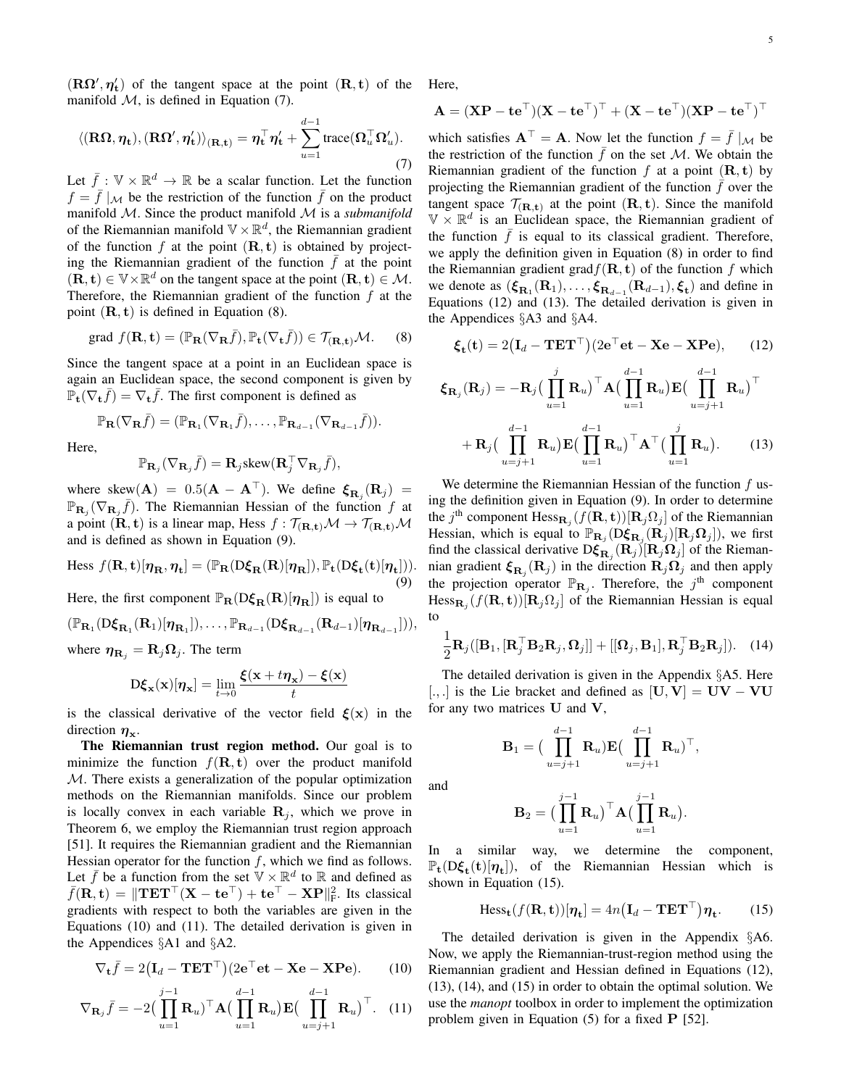$(R\Omega', \eta'_{t})$  of the tangent space at the point  $(R, t)$  of the manifold  $M$ , is defined in Equation (7).

$$
\langle (\mathbf{R}\mathbf{\Omega}, \boldsymbol{\eta}_{\mathbf{t}}), (\mathbf{R}\mathbf{\Omega}', \boldsymbol{\eta}_{\mathbf{t}}') \rangle_{(\mathbf{R}, \mathbf{t})} = \boldsymbol{\eta}_{\mathbf{t}}^{\top} \boldsymbol{\eta}_{\mathbf{t}}' + \sum_{u=1}^{d-1} \text{trace}(\mathbf{\Omega}_{u}^{\top} \mathbf{\Omega}_{u}').
$$
\n(7)

Let  $\bar{f}: \mathbb{V} \times \mathbb{R}^d \to \mathbb{R}$  be a scalar function. Let the function  $f = \bar{f} |_{\mathcal{M}}$  be the restriction of the function  $\bar{f}$  on the product manifold M. Since the product manifold M is a *submanifold* of the Riemannian manifold  $\nabla \times \mathbb{R}^d$ , the Riemannian gradient of the function f at the point  $(\mathbf{R}, \mathbf{t})$  is obtained by projecting the Riemannian gradient of the function  $\bar{f}$  at the point  $(\mathbf{R}, \mathbf{t}) \in \mathbb{V} \times \mathbb{R}^d$  on the tangent space at the point  $(\mathbf{R}, \mathbf{t}) \in \mathcal{M}$ . Therefore, the Riemannian gradient of the function  $f$  at the point  $(R, t)$  is defined in Equation  $(8)$ .

grad 
$$
f(\mathbf{R}, \mathbf{t}) = (\mathbb{P}_{\mathbf{R}}(\nabla_{\mathbf{R}} \bar{f}), \mathbb{P}_{\mathbf{t}}(\nabla_{\mathbf{t}} \bar{f})) \in \mathcal{T}_{(\mathbf{R}, \mathbf{t})} \mathcal{M}.
$$
 (8)

Since the tangent space at a point in an Euclidean space is again an Euclidean space, the second component is given by  $\mathbb{P}_{\mathbf{t}}(\nabla_{\mathbf{t}}\bar{f}) = \nabla_{\mathbf{t}}\bar{f}$ . The first component is defined as

$$
\mathbb{P}_{\mathbf{R}}(\nabla_{\mathbf{R}}\bar{f})=(\mathbb{P}_{\mathbf{R}_1}(\nabla_{\mathbf{R}_1}\bar{f}),\ldots,\mathbb{P}_{\mathbf{R}_{d-1}}(\nabla_{\mathbf{R}_{d-1}}\bar{f})).
$$

Here,

$$
\mathbb{P}_{\mathbf{R}_j}(\nabla_{\mathbf{R}_j}\bar{f})=\mathbf{R}_j\text{skew}(\mathbf{R}_j^\top\nabla_{\mathbf{R}_j}\bar{f}),
$$

where skew $({\bf A}) = 0.5({\bf A} - {\bf A}^{\top})$ . We define  $\xi_{\mathbf{R}_j}({\bf R}_j)$  =  $\mathbb{P}_{\mathbf{R}_j}(\nabla_{\mathbf{R}_j}\overline{f})$ . The Riemannian Hessian of the function f at a point  $(\mathbf{R}, \mathbf{t})$  is a linear map, Hess  $f : \mathcal{T}_{(\mathbf{R}, \mathbf{t})} \mathcal{M} \to \mathcal{T}_{(\mathbf{R}, \mathbf{t})} \mathcal{M}$ and is defined as shown in Equation (9).

$$
\text{Hess } f(\mathbf{R}, \mathbf{t})[\eta_{\mathbf{R}}, \eta_{\mathbf{t}}] = (\mathbb{P}_{\mathbf{R}}(D\xi_{\mathbf{R}}(\mathbf{R})[\eta_{\mathbf{R}}]), \mathbb{P}_{\mathbf{t}}(D\xi_{\mathbf{t}}(\mathbf{t})[\eta_{\mathbf{t}}])).
$$
\n(9)

Here, the first component  $\mathbb{P}_{\mathbf{R}}(D\xi_{\mathbf{R}}(\mathbf{R})[\eta_{\mathbf{R}}])$  is equal to

$$
(\mathbb{P}_{\mathbf{R}_1}(\mathbf{D}\boldsymbol{\xi}_{\mathbf{R}_1}(\mathbf{R}_1)[\boldsymbol{\eta}_{\mathbf{R}_1}]),\ldots,\mathbb{P}_{\mathbf{R}_{d-1}}(\mathbf{D}\boldsymbol{\xi}_{\mathbf{R}_{d-1}}(\mathbf{R}_{d-1})[\boldsymbol{\eta}_{\mathbf{R}_{d-1}}])),
$$
  
where  $\boldsymbol{\eta}_{\mathbf{R}_j} = \mathbf{R}_j \boldsymbol{\Omega}_j$ . The term

$$
\mathbf{D}\boldsymbol{\xi}_{\mathbf{x}}(\mathbf{x})[\boldsymbol{\eta}_{\mathbf{x}}] = \lim_{t \to 0} \frac{\boldsymbol{\xi}(\mathbf{x} + t\boldsymbol{\eta}_{\mathbf{x}}) - \boldsymbol{\xi}(\mathbf{x})}{t}
$$

is the classical derivative of the vector field  $\mathbf{\xi}(\mathbf{x})$  in the direction  $\eta_{\mathbf{x}}$ .

The Riemannian trust region method. Our goal is to minimize the function  $f(\mathbf{R}, t)$  over the product manifold M. There exists a generalization of the popular optimization methods on the Riemannian manifolds. Since our problem is locally convex in each variable  $\mathbf{R}_j$ , which we prove in Theorem 6, we employ the Riemannian trust region approach [51]. It requires the Riemannian gradient and the Riemannian Hessian operator for the function  $f$ , which we find as follows. Let  $\bar{f}$  be a function from the set  $\nabla \times \mathbb{R}^d$  to  $\mathbb R$  and defined as  $\bar{f}(\mathbf{R}, \mathbf{t}) = || \mathbf{T} \mathbf{E} \mathbf{T}^{\top} (\mathbf{X} - \mathbf{t} \mathbf{e}^{\top}) + \mathbf{t} \mathbf{e}^{\top} - \mathbf{X} \mathbf{P} ||^2_{\text{F}}$ . Its classical gradients with respect to both the variables are given in the Equations (10) and (11). The detailed derivation is given in the Appendices §A1 and §A2.

$$
\nabla_{\mathbf{t}} \bar{f} = 2(\mathbf{I}_d - \mathbf{T} \mathbf{E} \mathbf{T}^{\top})(2\mathbf{e}^{\top} \mathbf{e} \mathbf{t} - \mathbf{X} \mathbf{e} - \mathbf{X} \mathbf{P} \mathbf{e}). \quad (10)
$$

$$
\nabla_{\mathbf{R}_j} \bar{f} = -2 \Big( \prod_{u=1}^{j-1} \mathbf{R}_u \Big)^{\top} \mathbf{A} \Big( \prod_{u=1}^{d-1} \mathbf{R}_u \Big) \mathbf{E} \Big( \prod_{u=j+1}^{d-1} \mathbf{R}_u \Big)^{\top}.
$$
 (11)

Here,

$$
\mathbf{A} = (\mathbf{X}\mathbf{P} - \mathbf{t}\mathbf{e}^{\top})(\mathbf{X} - \mathbf{t}\mathbf{e}^{\top})^{\top} + (\mathbf{X} - \mathbf{t}\mathbf{e}^{\top})(\mathbf{X}\mathbf{P} - \mathbf{t}\mathbf{e}^{\top})^{\top}
$$

which satisfies  $A^{\top} = A$ . Now let the function  $f = \bar{f} |M|$  be the restriction of the function  $\bar{f}$  on the set M. We obtain the Riemannian gradient of the function f at a point  $(R, t)$  by projecting the Riemannian gradient of the function  $\bar{f}$  over the tangent space  $\mathcal{T}_{(\mathbf{R}, \mathbf{t})}$  at the point  $(\mathbf{R}, \mathbf{t})$ . Since the manifold  $\mathbb{V} \times \mathbb{R}^d$  is an Euclidean space, the Riemannian gradient of the function  $\bar{f}$  is equal to its classical gradient. Therefore, we apply the definition given in Equation (8) in order to find the Riemannian gradient grad $f(\mathbf{R}, \mathbf{t})$  of the function f which we denote as  $(\xi_{\mathbf{R}_1}(\mathbf{R}_1),..., \xi_{\mathbf{R}_{d-1}}(\mathbf{R}_{d-1}), \xi_{\mathbf{t}})$  and define in Equations (12) and (13). The detailed derivation is given in the Appendices §A3 and §A4.

$$
\boldsymbol{\xi}_{\mathbf{t}}(\mathbf{t}) = 2(\mathbf{I}_d - \mathbf{T} \mathbf{E} \mathbf{T}^{\top})(2\mathbf{e}^{\top} \mathbf{e} \mathbf{t} - \mathbf{X} \mathbf{e} - \mathbf{X} \mathbf{P} \mathbf{e}), \qquad (12)
$$

$$
\boldsymbol{\xi}_{\mathbf{R}_j}(\mathbf{R}_j) = -\mathbf{R}_j \left( \prod_{u=1}^j \mathbf{R}_u \right)^{\top} \mathbf{A} \left( \prod_{u=1}^{d-1} \mathbf{R}_u \right) \mathbf{E} \left( \prod_{u=j+1}^{d-1} \mathbf{R}_u \right)^{\top} + \mathbf{R}_j \left( \prod_{u=j+1}^{d-1} \mathbf{R}_u \right) \mathbf{E} \left( \prod_{u=1}^{d-1} \mathbf{R}_u \right)^{\top} \mathbf{A}^{\top} \left( \prod_{u=1}^j \mathbf{R}_u \right).
$$
 (13)

We determine the Riemannian Hessian of the function  $f$  using the definition given in Equation (9). In order to determine the j<sup>th</sup> component  $Hess_{\mathbf{R}_j}(f(\mathbf{R}, \mathbf{t}))[\mathbf{R}_j \Omega_j]$  of the Riemannian Hessian, which is equal to  $\mathbb{P}_{\mathbf{R}_j}(\mathbf{D}\xi_{\mathbf{R}_j}(\mathbf{R}_j)[\mathbf{R}_j\Omega_j])$ , we first find the classical derivative  $D\xi_{\mathbf{R}_j}(\mathbf{R}_j)[\mathbf{R}_j\Omega_j]$  of the Riemannian gradient  $\xi_{\mathbf{R}_j}(\mathbf{R}_j)$  in the direction  $\mathbf{R}_j\Omega_j$  and then apply the projection operator  $\mathbb{P}_{\mathbf{R}_j}$ . Therefore, the j<sup>th</sup> component  $Hess_{\mathbf{R}_j}(f(\mathbf{R}, \mathbf{t}))[\mathbf{R}_j\Omega_j]$  of the Riemannian Hessian is equal to

$$
\frac{1}{2}\mathbf{R}_{j}([\mathbf{B}_{1},[\mathbf{R}_{j}^{\top}\mathbf{B}_{2}\mathbf{R}_{j},\boldsymbol{\Omega}_{j}]] + [[\boldsymbol{\Omega}_{j},\mathbf{B}_{1}],\mathbf{R}_{j}^{\top}\mathbf{B}_{2}\mathbf{R}_{j}]).
$$
 (14)

The detailed derivation is given in the Appendix §A5. Here [., .] is the Lie bracket and defined as  $[U, V] = UV - VU$ for any two matrices U and V,

$$
\mathbf{B}_1 = \big(\prod_{u=j+1}^{d-1} \mathbf{R}_u\big) \mathbf{E} \big(\prod_{u=j+1}^{d-1} \mathbf{R}_u\big)^\top,
$$

and

$$
\mathbf{B}_2 = \big(\prod_{u=1}^{j-1} \mathbf{R}_u\big)^{\top} \mathbf{A} \big(\prod_{u=1}^{j-1} \mathbf{R}_u\big).
$$

In a similar way, we determine the component,  $\mathbb{P}_{t}(D\xi_{t}(t)[\eta_{t}]),$  of the Riemannian Hessian which is shown in Equation (15).

$$
\text{Hess}_{\mathbf{t}}(f(\mathbf{R}, \mathbf{t}))[\boldsymbol{\eta}_{\mathbf{t}}] = 4n(\mathbf{I}_d - \mathbf{T} \mathbf{E} \mathbf{T}^{\top}) \boldsymbol{\eta}_{\mathbf{t}}.
$$
 (15)

The detailed derivation is given in the Appendix §A6. Now, we apply the Riemannian-trust-region method using the Riemannian gradient and Hessian defined in Equations (12), (13), (14), and (15) in order to obtain the optimal solution. We use the *manopt* toolbox in order to implement the optimization problem given in Equation (5) for a fixed P [52].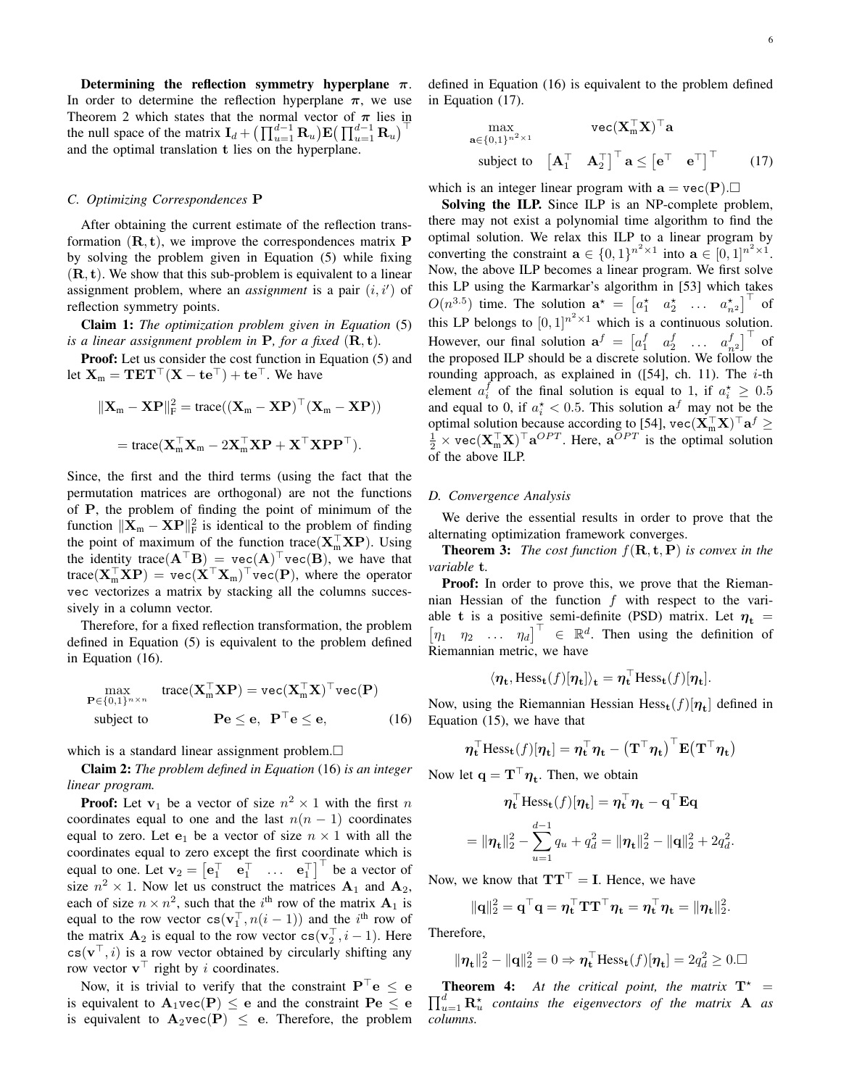Determining the reflection symmetry hyperplane  $\pi$ . In order to determine the reflection hyperplane  $\pi$ , we use Theorem 2 which states that the normal vector of  $\pi$  lies in the null space of the matrix  $\mathbf{I}_d + \left(\prod_{u=1}^{d-1} \mathbf{R}_u\right) \mathbf{E} \left(\prod_{u=1}^{d-1} \mathbf{R}_u\right)^{\top}$ and the optimal translation t lies on the hyperplane.

#### *C. Optimizing Correspondences* P

After obtaining the current estimate of the reflection transformation  $(\mathbf{R}, \mathbf{t})$ , we improve the correspondences matrix **P** by solving the problem given in Equation (5) while fixing  $(R, t)$ . We show that this sub-problem is equivalent to a linear assignment problem, where an *assignment* is a pair  $(i, i')$  of reflection symmetry points.

Claim 1: *The optimization problem given in Equation* (5) *is a linear assignment problem in*  $P$ *, for a fixed*  $(R, t)$ *.* 

Proof: Let us consider the cost function in Equation (5) and let  $X_m = TET<sup>T</sup>(X - te<sup>T</sup>) + te<sup>T</sup>$ . We have

$$
\|\mathbf{X}_{m} - \mathbf{X} \mathbf{P}\|_{\mathrm{F}}^{2} = \text{trace}((\mathbf{X}_{m} - \mathbf{X} \mathbf{P})^{\top}(\mathbf{X}_{m} - \mathbf{X} \mathbf{P}))
$$

$$
= \text{trace}(\mathbf{X}_{m}^{\top} \mathbf{X}_{m} - 2\mathbf{X}_{m}^{\top} \mathbf{X} \mathbf{P} + \mathbf{X}^{\top} \mathbf{X} \mathbf{P} \mathbf{P}^{\top}).
$$

Since, the first and the third terms (using the fact that the permutation matrices are orthogonal) are not the functions of P, the problem of finding the point of minimum of the function  $\|\mathbf{X}_{m} - \mathbf{X} \mathbf{P}\|_{\text{F}}^2$  is identical to the problem of finding the point of maximum of the function trace( $X_m^{\top} X P$ ). Using the identity trace( $\mathbf{A}^\top \mathbf{B}$ ) = vec( $\mathbf{A}$ )<sup> $\top$ </sup>vec( $\mathbf{B}$ ), we have that trace( $X_{m}^{\top} \mathbf{X} \mathbf{P}$ ) = vec $(\mathbf{X}^{\top} \mathbf{X}_{m})^{\top}$ vec( $\mathbf{P}$ ), where the operator vec vectorizes a matrix by stacking all the columns successively in a column vector.

Therefore, for a fixed reflection transformation, the problem defined in Equation (5) is equivalent to the problem defined in Equation (16).

$$
\begin{array}{ll}\n\max_{\mathbf{P} \in \{0,1\}^{n \times n}} & \text{trace}(\mathbf{X}_{m}^{\top} \mathbf{X} \mathbf{P}) = \text{vec}(\mathbf{X}_{m}^{\top} \mathbf{X})^{\top} \text{vec}(\mathbf{P}) \\
\text{subject to} & \mathbf{P} \mathbf{e} \leq \mathbf{e}, \quad \mathbf{P}^{\top} \mathbf{e} \leq \mathbf{e},\n\end{array} (16)
$$

which is a standard linear assignment problem. $\Box$ 

Claim 2: *The problem defined in Equation* (16) *is an integer linear program.*

**Proof:** Let  $v_1$  be a vector of size  $n^2 \times 1$  with the first n coordinates equal to one and the last  $n(n - 1)$  coordinates equal to zero. Let  $e_1$  be a vector of size  $n \times 1$  with all the coordinates equal to zero except the first coordinate which is equal to one. Let  $\mathbf{v}_2 = \begin{bmatrix} \mathbf{e}_1^\top & \mathbf{e}_1^\top & \dots & \mathbf{e}_1^\top \end{bmatrix}^\top$  be a vector of size  $n^2 \times 1$ . Now let us construct the matrices  $A_1$  and  $A_2$ , each of size  $n \times n^2$ , such that the *i*<sup>th</sup> row of the matrix  $A_1$  is equal to the row vector  $cs(v_1^\top, n(i-1))$  and the i<sup>th</sup> row of the matrix  $\mathbf{A}_2$  is equal to the row vector  $\text{cs}(\mathbf{v}_2^{\top}, i - 1)$ . Here  $cs(v^{\top}, i)$  is a row vector obtained by circularly shifting any row vector  $\mathbf{v}^{\top}$  right by *i* coordinates.

Now, it is trivial to verify that the constraint  $P<sup>†</sup>e \le e$ is equivalent to  $\mathbf{A}_1$ vec $(\mathbf{P}) \leq \mathbf{e}$  and the constraint  $\mathbf{Pe} \leq \mathbf{e}$ is equivalent to  $A_2$ vec(P)  $\leq$  e. Therefore, the problem

defined in Equation (16) is equivalent to the problem defined in Equation (17).

$$
\begin{array}{ll}\n\max & \text{vec}(\mathbf{X}_{m}^{\top}\mathbf{X})^{\top}\mathbf{a} \\
\mathbf{a} \in \{0,1\}^{n^{2} \times 1} & \text{subject to} & \begin{bmatrix} \mathbf{A}_{1}^{\top} & \mathbf{A}_{2}^{\top} \end{bmatrix}^{\top}\mathbf{a} \leq \begin{bmatrix} \mathbf{e}^{\top} & \mathbf{e}^{\top} \end{bmatrix}^{\top} \n\end{array} \n\tag{17}
$$

which is an integer linear program with  $a = \text{vec}(P)$ .

Solving the ILP. Since ILP is an NP-complete problem, there may not exist a polynomial time algorithm to find the optimal solution. We relax this ILP to a linear program by converting the constraint  $\mathbf{a} \in \{0,1\}^{n^2 \times 1}$  into  $\mathbf{a} \in [0,1]^{n^2 \times 1}$ . Now, the above ILP becomes a linear program. We first solve this LP using the Karmarkar's algorithm in [53] which takes  $O(n^{3.5})$  time. The solution  $\mathbf{a}^* = \begin{bmatrix} a_1^* & a_2^* & \dots & a_{n^2} \end{bmatrix}^\top$  of this LP belongs to  $[0,1]^{n^2 \times 1}$  which is a continuous solution. However, our final solution  $\mathbf{a}^f = \begin{bmatrix} a_1^f & a_2^f & \dots & a_{n}^f \end{bmatrix}^\top$  of the proposed ILP should be a discrete solution. We follow the rounding approach, as explained in  $([54]$ , ch. 11). The *i*-th element  $a_i^f$  of the final solution is equal to 1, if  $a_i^* \geq 0.5$ and equal to 0, if  $a_i^* < 0.5$ . This solution  $a_f$  may not be the optimal solution because according to [54],  $\text{vec}(\mathbf{X}_{m}^{\top} \mathbf{X})^{\top} \mathbf{a}^{f} \geq \frac{1}{2} \times \text{vec}(\mathbf{X}_{m}^{\top} \mathbf{X})^{\top} \mathbf{a}^{OPT}$ . Here,  $\mathbf{a}^{OPT}$  is the optimal solution of the above ILP.

## *D. Convergence Analysis*

We derive the essential results in order to prove that the alternating optimization framework converges.

Theorem 3: *The cost function* f(R, t, P) *is convex in the variable* t*.*

Proof: In order to prove this, we prove that the Riemannian Hessian of the function  $f$  with respect to the variable t is a positive semi-definite (PSD) matrix. Let  $\eta_t$  =  $\begin{bmatrix} \eta_1 & \eta_2 & \dots & \eta_d \end{bmatrix}^\top \in \mathbb{R}^d$ . Then using the definition of Riemannian metric, we have

$$
\langle \eta_{\mathbf{t}}, \text{Hess}_{\mathbf{t}}(f)[\eta_{\mathbf{t}}] \rangle_{\mathbf{t}} = \eta_{\mathbf{t}}^{\top} \text{Hess}_{\mathbf{t}}(f)[\eta_{\mathbf{t}}].
$$

Now, using the Riemannian Hessian  $Hess_{t}(f)[\eta_{t}]$  defined in Equation (15), we have that

$$
\boldsymbol{\eta}_t^\top\text{Hess}_{t}(f)[\boldsymbol{\eta}_t] = \boldsymbol{\eta}_t^\top\boldsymbol{\eta}_t - \left(\mathbf{T}^\top\boldsymbol{\eta}_t\right)^\top\text{E}(\mathbf{T}^\top\boldsymbol{\eta}_t)
$$

Now let  $\mathbf{q} = \mathbf{T}^\top \boldsymbol{\eta}_t$ . Then, we obtain

$$
\eta_{\mathbf{t}}^{\top} \text{Hess}_{\mathbf{t}}(f)[\eta_{\mathbf{t}}] = \eta_{\mathbf{t}}^{\top} \eta_{\mathbf{t}} - \mathbf{q}^{\top} \mathbf{E} \mathbf{q}
$$

$$
= \|\eta_{\mathbf{t}}\|_{2}^{2} - \sum_{u=1}^{d-1} q_{u} + q_{d}^{2} = \|\eta_{\mathbf{t}}\|_{2}^{2} - \|\mathbf{q}\|_{2}^{2} + 2q_{d}^{2}.
$$

Now, we know that  $TT<sup>T</sup> = I$ . Hence, we have

$$
\|\mathbf{q}\|_2^2 = \mathbf{q}^\top \mathbf{q} = \eta_\mathbf{t}^\top \mathbf{T} \mathbf{T}^\top \eta_\mathbf{t} = \eta_\mathbf{t}^\top \eta_\mathbf{t} = \|\eta_\mathbf{t}\|_2^2.
$$

Therefore,

$$
\|\boldsymbol{\eta}_{\mathbf{t}}\|_{2}^{2} - \|\mathbf{q}\|_{2}^{2} = 0 \Rightarrow \boldsymbol{\eta}_{\mathbf{t}}^{\top} \text{Hess}_{\mathbf{t}}(f)[\boldsymbol{\eta}_{\mathbf{t}}] = 2q_d^2 \ge 0. \square
$$

 $\prod_{u=1}^{d} \mathbf{R}_{u}^{\star}$  contains the eigenvectors of the matrix **A** as **Theorem 4:** At the critical point, the matrix  $T^*$  = *columns.*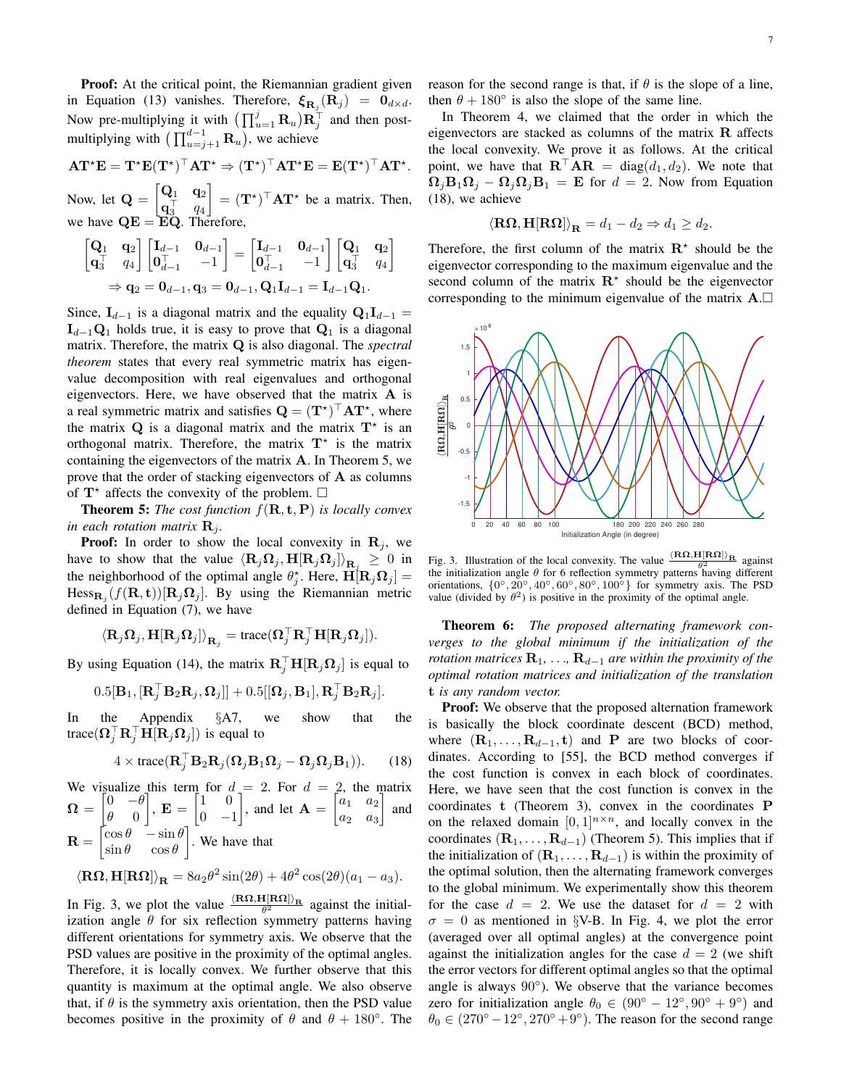Proof: At the critical point, the Riemannian gradient given in Equation (13) vanishes. Therefore,  $\xi_{\mathbf{R}_j}(\mathbf{R}_j) = \mathbf{0}_{d \times d}$ . Now pre-multiplying it with  $\left(\prod_{u=1}^{j} \mathbf{R}_{u}\right) \mathbf{R}_{j}^{\top}$  and then postmultiplying with  $(\prod_{u=j+1}^{d-1} \mathbf{R}_u)$ , we achieve

$$
AT^{\star}E = T^{\star}E(T^{\star})^{\top}AT^{\star} \Rightarrow (T^{\star})^{\top}AT^{\star}E = E(T^{\star})^{\top}AT^{\star}.
$$

Now, let  $\mathbf{Q} = \begin{bmatrix} \mathbf{Q}_1 & \mathbf{q}_2 \\ \mathbf{q}^{\top} & \mathbf{q} \end{bmatrix}$  $\mathbf{q}_3^\top$   $q_4$  $\Big] = (\mathbf{T}^{\star})^{\top} \mathbf{A} \mathbf{T}^{\star}$  be a matrix. Then, we have  $\mathbf{Q} \mathbf{E} = \mathbf{E} \mathbf{Q}$ . Therefore,

$$
\begin{bmatrix} \mathbf{Q}_1 & \mathbf{q}_2 \\ \mathbf{q}_3^\top & q_4 \end{bmatrix} \begin{bmatrix} \mathbf{I}_{d-1} & \mathbf{0}_{d-1} \\ \mathbf{0}_{d-1}^\top & -1 \end{bmatrix} = \begin{bmatrix} \mathbf{I}_{d-1} & \mathbf{0}_{d-1} \\ \mathbf{0}_{d-1}^\top & -1 \end{bmatrix} \begin{bmatrix} \mathbf{Q}_1 & \mathbf{q}_2 \\ \mathbf{q}_3^\top & q_4 \end{bmatrix}
$$

$$
\Rightarrow \mathbf{q}_2 = \mathbf{0}_{d-1}, \mathbf{q}_3 = \mathbf{0}_{d-1}, \mathbf{Q}_1 \mathbf{I}_{d-1} = \mathbf{I}_{d-1} \mathbf{Q}_1.
$$

Since,  $I_{d-1}$  is a diagonal matrix and the equality  $Q_1I_{d-1}$  =  $I_{d-1}Q_1$  holds true, it is easy to prove that  $Q_1$  is a diagonal matrix. Therefore, the matrix Q is also diagonal. The *spectral theorem* states that every real symmetric matrix has eigenvalue decomposition with real eigenvalues and orthogonal eigenvectors. Here, we have observed that the matrix A is a real symmetric matrix and satisfies  $\mathbf{Q} = (\mathbf{T}^{\star})^{\top} \mathbf{A} \mathbf{T}^{\star}$ , where the matrix  $Q$  is a diagonal matrix and the matrix  $T^*$  is an orthogonal matrix. Therefore, the matrix  $T^*$  is the matrix containing the eigenvectors of the matrix A. In Theorem 5, we prove that the order of stacking eigenvectors of  $A$  as columns of  $T^*$  affects the convexity of the problem.  $\Box$ 

**Theorem 5:** *The cost function*  $f(\mathbf{R}, \mathbf{t}, \mathbf{P})$  *is locally convex in each rotation matrix*  $\mathbf{R}_i$ *.* 

**Proof:** In order to show the local convexity in  $\mathbf{R}_j$ , we have to show that the value  $\langle \mathbf{R}_j \Omega_j, \mathbf{H} [\mathbf{R}_j \Omega_j] \rangle_{\mathbf{R}_j} \ge 0$  in the neighborhood of the optimal angle  $\theta_j^*$ . Here,  $\mathbf{H}[\mathbf{R}_j \mathbf{\Omega}_j] =$  $Hess_{\mathbf{R}_j}(f(\mathbf{R}, \mathbf{t}))[\mathbf{R}_j\Omega_j]$ . By using the Riemannian metric defined in Equation (7), we have

$$
\left\langle \mathbf{R}_j\mathbf{\Omega}_j,\mathbf{H}[\mathbf{R}_j\mathbf{\Omega}_j]\right\rangle_{\mathbf{R}_j}=\text{trace}(\mathbf{\Omega}_j^\top\mathbf{R}_j^\top\mathbf{H}[\mathbf{R}_j\mathbf{\Omega}_j]).
$$

By using Equation (14), the matrix  $\mathbf{R}_{j}^{\top} \mathbf{H}[\mathbf{R}_{j} \Omega_{j}]$  is equal to

$$
0.5[\mathbf{B}_1,[\mathbf{R}_j^\top \mathbf{B}_2 \mathbf{R}_j,\mathbf{\Omega}_j]]+0.5[[\mathbf{\Omega}_j,\mathbf{B}_1],\mathbf{R}_j^\top \mathbf{B}_2 \mathbf{R}_j].
$$

In the Appendix §A7, we show that the trace $(\mathbf{\Omega}_{j}^{\top} \mathbf{R}_{j}^{\top} \mathbf{H}[\mathbf{R}_{j} \mathbf{\Omega}_{j}])$  is equal to

$$
4 \times \text{trace}(\mathbf{R}_j^{\top} \mathbf{B}_2 \mathbf{R}_j (\mathbf{\Omega}_j \mathbf{B}_1 \mathbf{\Omega}_j - \mathbf{\Omega}_j \mathbf{\Omega}_j \mathbf{B}_1)).
$$
 (18)

We visualize this term for 
$$
d = 2
$$
. For  $d = 2$ , the matrix  
\n
$$
\mathbf{\Omega} = \begin{bmatrix} 0 & -\theta \\ \theta & 0 \end{bmatrix}, \mathbf{E} = \begin{bmatrix} 1 & 0 \\ 0 & -1 \end{bmatrix}, \text{ and let } \mathbf{A} = \begin{bmatrix} a_1 & a_2 \\ a_2 & a_3 \end{bmatrix} \text{ and}
$$
\n
$$
\mathbf{R} = \begin{bmatrix} \cos \theta & -\sin \theta \\ \sin \theta & \cos \theta \end{bmatrix}.
$$
 We have that

$$
\langle \mathbf{R}\mathbf{\Omega}, \mathbf{H}[\mathbf{R}\mathbf{\Omega}]\rangle_{\mathbf{R}} = 8a_2\theta^2 \sin(2\theta) + 4\theta^2 \cos(2\theta)(a_1 - a_3).
$$

In Fig. 3, we plot the value  $\frac{\langle \mathbf{R}\Omega, \mathbf{H}[\mathbf{R}\Omega] \rangle_{\mathbf{R}}}{\theta^2}$  against the initialization angle  $\theta$  for six reflection symmetry patterns having different orientations for symmetry axis. We observe that the PSD values are positive in the proximity of the optimal angles. Therefore, it is locally convex. We further observe that this quantity is maximum at the optimal angle. We also observe that, if  $\theta$  is the symmetry axis orientation, then the PSD value becomes positive in the proximity of  $\theta$  and  $\theta + 180^\circ$ . The reason for the second range is that, if  $\theta$  is the slope of a line, then  $\theta + 180^\circ$  is also the slope of the same line.

In Theorem 4, we claimed that the order in which the eigenvectors are stacked as columns of the matrix  **affects** the local convexity. We prove it as follows. At the critical point, we have that  $\mathbf{R}^{\top} \mathbf{A} \mathbf{R} = \text{diag}(d_1, d_2)$ . We note that  $\Omega_j \mathbf{B}_1 \Omega_j - \Omega_j \Omega_j \mathbf{B}_1 = \mathbf{E}$  for  $d = 2$ . Now from Equation (18), we achieve

$$
\langle \mathbf{R}\mathbf{\Omega}, \mathbf{H}[\mathbf{R}\mathbf{\Omega}]\rangle_{\mathbf{R}} = d_1 - d_2 \Rightarrow d_1 \geq d_2.
$$

Therefore, the first column of the matrix  $\mathbb{R}^*$  should be the eigenvector corresponding to the maximum eigenvalue and the second column of the matrix  $\mathbb{R}^*$  should be the eigenvector corresponding to the minimum eigenvalue of the matrix  $A.\Box$ 



Fig. 3. Illustration of the local convexity. The value  $\frac{\langle \mathbf{R}\Omega, \mathbf{H}[\mathbf{R}\Omega]\rangle_{\mathbf{R}}}{\theta_1^2}$  against the initialization angle  $\theta$  for 6 reflection symmetry patterns having different orientations,  $\{0^\circ, 20^\circ, 40^\circ, 60^\circ, 80^\circ, 100^\circ\}$  for symmetry axis. The PSD value (divided by  $\theta^2$ ) is positive in the proximity of the optimal angle.

Theorem 6: *The proposed alternating framework converges to the global minimum if the initialization of the rotation matrices*  $\mathbf{R}_1, \ldots, \mathbf{R}_{d-1}$  *are within the proximity of the optimal rotation matrices and initialization of the translation* t *is any random vector.*

Proof: We observe that the proposed alternation framework is basically the block coordinate descent (BCD) method, where  $(\mathbf{R}_1, \ldots, \mathbf{R}_{d-1}, \mathbf{t})$  and P are two blocks of coordinates. According to [55], the BCD method converges if the cost function is convex in each block of coordinates. Here, we have seen that the cost function is convex in the coordinates t (Theorem 3), convex in the coordinates P on the relaxed domain  $[0, 1]^{n \times n}$ , and locally convex in the coordinates  $(\mathbf{R}_1, \ldots, \mathbf{R}_{d-1})$  (Theorem 5). This implies that if the initialization of  $(\mathbf{R}_1, \ldots, \mathbf{R}_{d-1})$  is within the proximity of the optimal solution, then the alternating framework converges to the global minimum. We experimentally show this theorem for the case  $d = 2$ . We use the dataset for  $d = 2$  with  $\sigma = 0$  as mentioned in §V-B. In Fig. 4, we plot the error (averaged over all optimal angles) at the convergence point against the initialization angles for the case  $d = 2$  (we shift the error vectors for different optimal angles so that the optimal angle is always 90°). We observe that the variance becomes zero for initialization angle  $\theta_0 \in (90^{\circ} - 12^{\circ}, 90^{\circ} + 9^{\circ})$  and  $\theta_0 \in (270^{\circ} - 12^{\circ}, 270^{\circ} + 9^{\circ})$ . The reason for the second range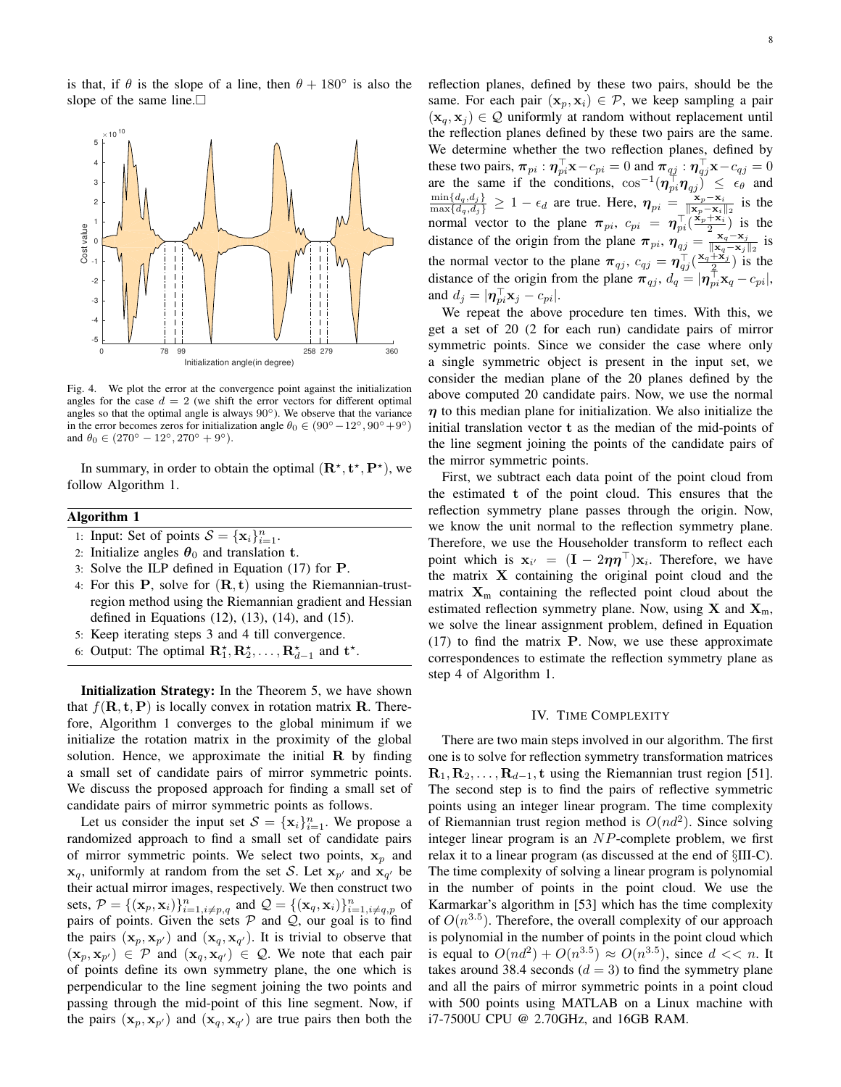is that, if  $\theta$  is the slope of a line, then  $\theta + 180^\circ$  is also the slope of the same line. $\Box$ 



Fig. 4. We plot the error at the convergence point against the initialization angles for the case  $d = 2$  (we shift the error vectors for different optimal angles so that the optimal angle is always  $90°$ ). We observe that the variance in the error becomes zeros for initialization angle  $\theta_0 \in (90^{\circ} - 12^{\circ}, 90^{\circ} + 9^{\circ})$ and  $\theta_0 \in (270^{\circ} - 12^{\circ}, 270^{\circ} + 9^{\circ}).$ 

In summary, in order to obtain the optimal  $(\mathbf{R}^{\star}, \mathbf{t}^{\star}, \mathbf{P}^{\star})$ , we follow Algorithm 1.

# Algorithm 1

- 1: Input: Set of points  $S = {\mathbf{x}_i}_{i=1}^n$ .
- 2: Initialize angles  $\theta_0$  and translation t.
- 3: Solve the ILP defined in Equation (17) for P.
- 4: For this  $P$ , solve for  $(R, t)$  using the Riemannian-trustregion method using the Riemannian gradient and Hessian defined in Equations (12), (13), (14), and (15).
- 5: Keep iterating steps 3 and 4 till convergence.
- 6: Output: The optimal  $\mathbf{R}_1^{\star}, \mathbf{R}_2^{\star}, \ldots, \mathbf{R}_{d-1}^{\star}$  and  $\mathbf{t}^{\star}$ .

Initialization Strategy: In the Theorem 5, we have shown that  $f(\mathbf{R}, \mathbf{t}, \mathbf{P})$  is locally convex in rotation matrix **R**. Therefore, Algorithm 1 converges to the global minimum if we initialize the rotation matrix in the proximity of the global solution. Hence, we approximate the initial  $\bf{R}$  by finding a small set of candidate pairs of mirror symmetric points. We discuss the proposed approach for finding a small set of candidate pairs of mirror symmetric points as follows.

Let us consider the input set  $S = {\mathbf{x}_i}_{i=1}^n$ . We propose a randomized approach to find a small set of candidate pairs of mirror symmetric points. We select two points,  $x_p$  and  $\mathbf{x}_q$ , uniformly at random from the set S. Let  $\mathbf{x}_{p'}$  and  $\mathbf{x}_{q'}$  be their actual mirror images, respectively. We then construct two sets,  $P = \{(\mathbf{x}_p, \mathbf{x}_i)\}_{i=1, i \neq p, q}^n$  and  $\mathcal{Q} = \{(\mathbf{x}_q, \mathbf{x}_i)\}_{i=1, i \neq q, p}^n$  of pairs of points. Given the sets  $P$  and  $Q$ , our goal is to find the pairs  $(\mathbf{x}_p, \mathbf{x}_{p'})$  and  $(\mathbf{x}_q, \mathbf{x}_{q'})$ . It is trivial to observe that  $(\mathbf{x}_p, \mathbf{x}_{p'}) \in \mathcal{P}$  and  $(\mathbf{x}_q, \mathbf{x}_{q'}) \in \mathcal{Q}$ . We note that each pair of points define its own symmetry plane, the one which is perpendicular to the line segment joining the two points and passing through the mid-point of this line segment. Now, if the pairs  $(\mathbf{x}_p, \mathbf{x}_{p'})$  and  $(\mathbf{x}_q, \mathbf{x}_{q'})$  are true pairs then both the reflection planes, defined by these two pairs, should be the same. For each pair  $(x_p, x_i) \in \mathcal{P}$ , we keep sampling a pair  $(x_q, x_j) \in \mathcal{Q}$  uniformly at random without replacement until the reflection planes defined by these two pairs are the same. We determine whether the two reflection planes, defined by these two pairs,  $\pi_{pi}: \eta_{pi}^{\top} \mathbf{x} - c_{pi} = 0$  and  $\pi_{qj}: \eta_{qj}^{\top} \mathbf{x} - c_{qj} = 0$ are the same if the conditions,  $\cos^{-1}(\eta_{pi}^{\top} \eta_{qj}) \leq \epsilon_{\theta}$  and  $\frac{\min\{d_q, d_j\}}{\max\{d_q, d_j\}} \geq 1 - \epsilon_d$  are true. Here,  $\eta_{pi} = \frac{\mathbf{x}_p - \mathbf{x}_i}{\|\mathbf{x}_p - \mathbf{x}_i\|_2}$  is the  $\frac{\mathbf{x}_p - \mathbf{x}_i}{\|\mathbf{x}_p - \mathbf{x}_i\|_2}$  is the normal vector to the plane  $\pi_{pi}$ ,  $c_{pi} = \eta_{pi}^{\top}(\frac{x_p + x_i}{2})$  $\frac{+x_i}{2}$ ) is the distance of the origin from the plane  $\pi_{pi}$ ,  $\eta_{qj} = \frac{x_q - x_j}{\|x_q - x_j\|}$  $\frac{\mathbf{x}_q - \mathbf{x}_j}{\|\mathbf{x}_q - \mathbf{x}_j\|_2}$  is the normal vector to the plane  $\pi_{qj}$ ,  $c_{qj} = \eta_{qj}^{\top}(\frac{\mathbf{x}_q + \mathbf{x}_j}{2})$  $\frac{+x_j}{2}$ ) is the distance of the origin from the plane  $\pi_{qj}$ ,  $d_q = |\eta_{pi}^{\top} \mathbf{x}_q - c_{pi}|$ , and  $d_j = |\boldsymbol{\eta}_{pi}^\top \mathbf{x}_j - c_{pi}|.$ 

We repeat the above procedure ten times. With this, we get a set of 20 (2 for each run) candidate pairs of mirror symmetric points. Since we consider the case where only a single symmetric object is present in the input set, we consider the median plane of the 20 planes defined by the above computed 20 candidate pairs. Now, we use the normal  $\eta$  to this median plane for initialization. We also initialize the initial translation vector t as the median of the mid-points of the line segment joining the points of the candidate pairs of the mirror symmetric points.

First, we subtract each data point of the point cloud from the estimated t of the point cloud. This ensures that the reflection symmetry plane passes through the origin. Now, we know the unit normal to the reflection symmetry plane. Therefore, we use the Householder transform to reflect each point which is  $\mathbf{x}_{i'} = (\mathbf{I} - 2\eta \eta^{\top}) \mathbf{x}_{i}$ . Therefore, we have the matrix  $X$  containing the original point cloud and the matrix  $X_m$  containing the reflected point cloud about the estimated reflection symmetry plane. Now, using  $X$  and  $X_m$ , we solve the linear assignment problem, defined in Equation (17) to find the matrix P. Now, we use these approximate correspondences to estimate the reflection symmetry plane as step 4 of Algorithm 1.

### IV. TIME COMPLEXITY

There are two main steps involved in our algorithm. The first one is to solve for reflection symmetry transformation matrices  $\mathbf{R}_1, \mathbf{R}_2, \ldots, \mathbf{R}_{d-1}$ , t using the Riemannian trust region [51]. The second step is to find the pairs of reflective symmetric points using an integer linear program. The time complexity of Riemannian trust region method is  $O(nd^2)$ . Since solving integer linear program is an NP-complete problem, we first relax it to a linear program (as discussed at the end of §III-C). The time complexity of solving a linear program is polynomial in the number of points in the point cloud. We use the Karmarkar's algorithm in [53] which has the time complexity of  $O(n^{3.5})$ . Therefore, the overall complexity of our approach is polynomial in the number of points in the point cloud which is equal to  $O(nd^2) + O(n^{3.5}) \approx O(n^{3.5})$ , since  $d \ll n$ . It takes around 38.4 seconds  $(d = 3)$  to find the symmetry plane and all the pairs of mirror symmetric points in a point cloud with 500 points using MATLAB on a Linux machine with i7-7500U CPU @ 2.70GHz, and 16GB RAM.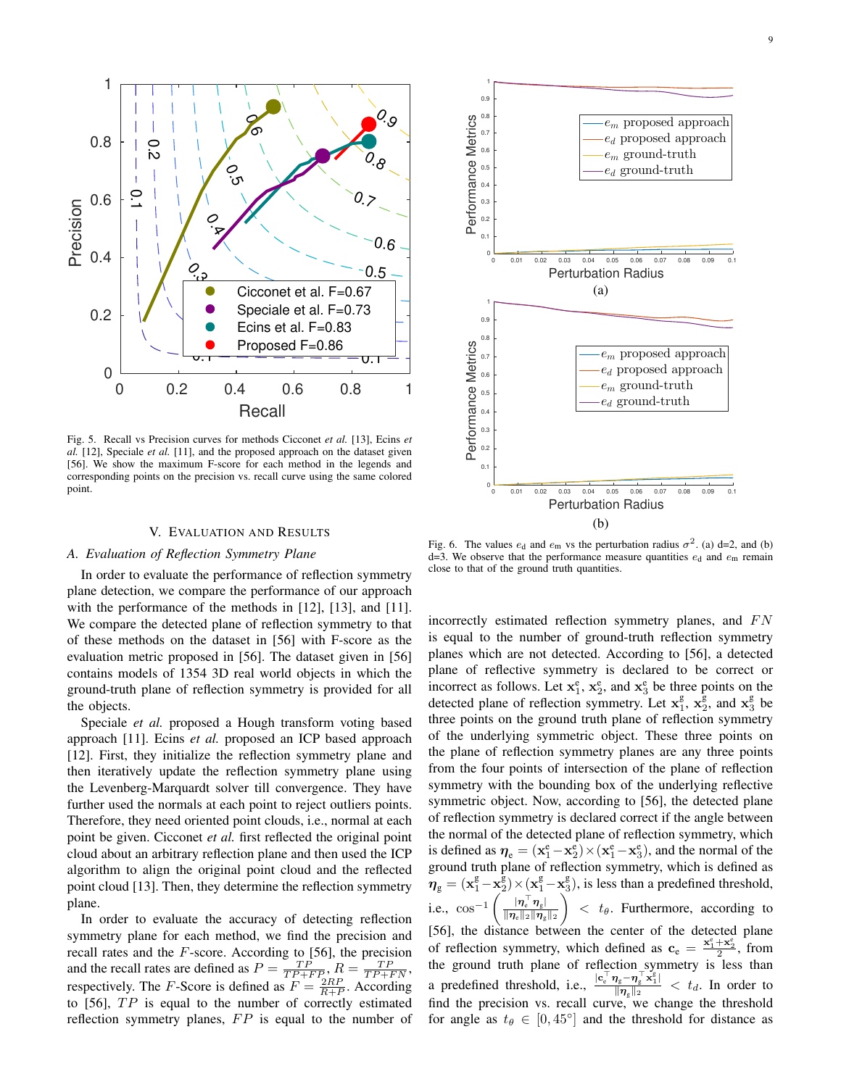

Fig. 5. Recall vs Precision curves for methods Cicconet *et al.* [13], Ecins *et al.* [12], Speciale *et al.* [11], and the proposed approach on the dataset given [56]. We show the maximum F-score for each method in the legends and corresponding points on the precision vs. recall curve using the same colored point.

#### V. EVALUATION AND RESULTS

#### *A. Evaluation of Reflection Symmetry Plane*

In order to evaluate the performance of reflection symmetry plane detection, we compare the performance of our approach with the performance of the methods in [12], [13], and [11]. We compare the detected plane of reflection symmetry to that of these methods on the dataset in [56] with F-score as the evaluation metric proposed in [56]. The dataset given in [56] contains models of 1354 3D real world objects in which the ground-truth plane of reflection symmetry is provided for all the objects.

Speciale *et al.* proposed a Hough transform voting based approach [11]. Ecins *et al.* proposed an ICP based approach [12]. First, they initialize the reflection symmetry plane and then iteratively update the reflection symmetry plane using the Levenberg-Marquardt solver till convergence. They have further used the normals at each point to reject outliers points. Therefore, they need oriented point clouds, i.e., normal at each point be given. Cicconet *et al.* first reflected the original point cloud about an arbitrary reflection plane and then used the ICP algorithm to align the original point cloud and the reflected point cloud [13]. Then, they determine the reflection symmetry plane.

In order to evaluate the accuracy of detecting reflection symmetry plane for each method, we find the precision and recall rates and the  $F$ -score. According to [56], the precision and the recall rates are defined as  $P = \frac{TP}{TP + FP_2}$ ,  $R = \frac{TP}{TP + FN}$ , respectively. The *F*-Score is defined as  $F = \frac{2RP}{R+P}$ . According to  $[56]$ ,  $TP$  is equal to the number of correctly estimated reflection symmetry planes,  $FP$  is equal to the number of



Fig. 6. The values  $e_d$  and  $e_m$  vs the perturbation radius  $\sigma^2$ . (a) d=2, and (b) d=3. We observe that the performance measure quantities  $e_d$  and  $e_m$  remain close to that of the ground truth quantities.

incorrectly estimated reflection symmetry planes, and  $FN$ is equal to the number of ground-truth reflection symmetry planes which are not detected. According to [56], a detected plane of reflective symmetry is declared to be correct or incorrect as follows. Let  $x_1^e$ ,  $x_2^e$ , and  $x_3^e$  be three points on the detected plane of reflection symmetry. Let  $x_1^g$ ,  $x_2^g$ , and  $x_3^g$  be three points on the ground truth plane of reflection symmetry of the underlying symmetric object. These three points on the plane of reflection symmetry planes are any three points from the four points of intersection of the plane of reflection symmetry with the bounding box of the underlying reflective symmetric object. Now, according to [56], the detected plane of reflection symmetry is declared correct if the angle between the normal of the detected plane of reflection symmetry, which is defined as  $\eta_e = (\mathbf{x}_1^e - \mathbf{x}_2^e) \times (\mathbf{x}_1^e - \mathbf{x}_3^e)$ , and the normal of the ground truth plane of reflection symmetry, which is defined as  $\mathbf{\bar{\eta}}_{g} = (\mathbf{x}_{1}^{g} - \mathbf{x}_{2}^{g}) \times (\mathbf{x}_{1}^{g} - \mathbf{x}_{3}^{g}),$  is less than a predefined threshold, i.e.,  $\cos^{-1}\left(\frac{|\eta_{\rm e}^\top \eta_{\rm g}|}{\|\eta_{\rm e}\|_{\mathcal{D}}\|_{\mathcal{D}}} \right)$  $\|\boldsymbol{\eta}_\text{e}\|_2 \|\boldsymbol{\eta}_\text{g}\|_2$  $\Big)$  <  $t_{\theta}$ . Furthermore, according to [56], the distance between the center of the detected plane of reflection symmetry, which defined as  $\mathbf{c}_e = \frac{\mathbf{x}_1^e + \mathbf{x}_2^e}{2}$ , from the ground truth plane of reflection symmetry is less than a predefined threshold, i.e.,  $\frac{|c_e^{\top} \eta_g - \eta_g^{\top} x_1^{\epsilon}|}{\|\eta\|_{\infty}}$  $\frac{d_{g}-d_{g}-d_{1}}{\|\eta_{g}\|_{2}}$  <  $t_{d}$ . In order to find the precision vs. recall curve, we change the threshold for angle as  $t_{\theta} \in [0, 45^{\circ}]$  and the threshold for distance as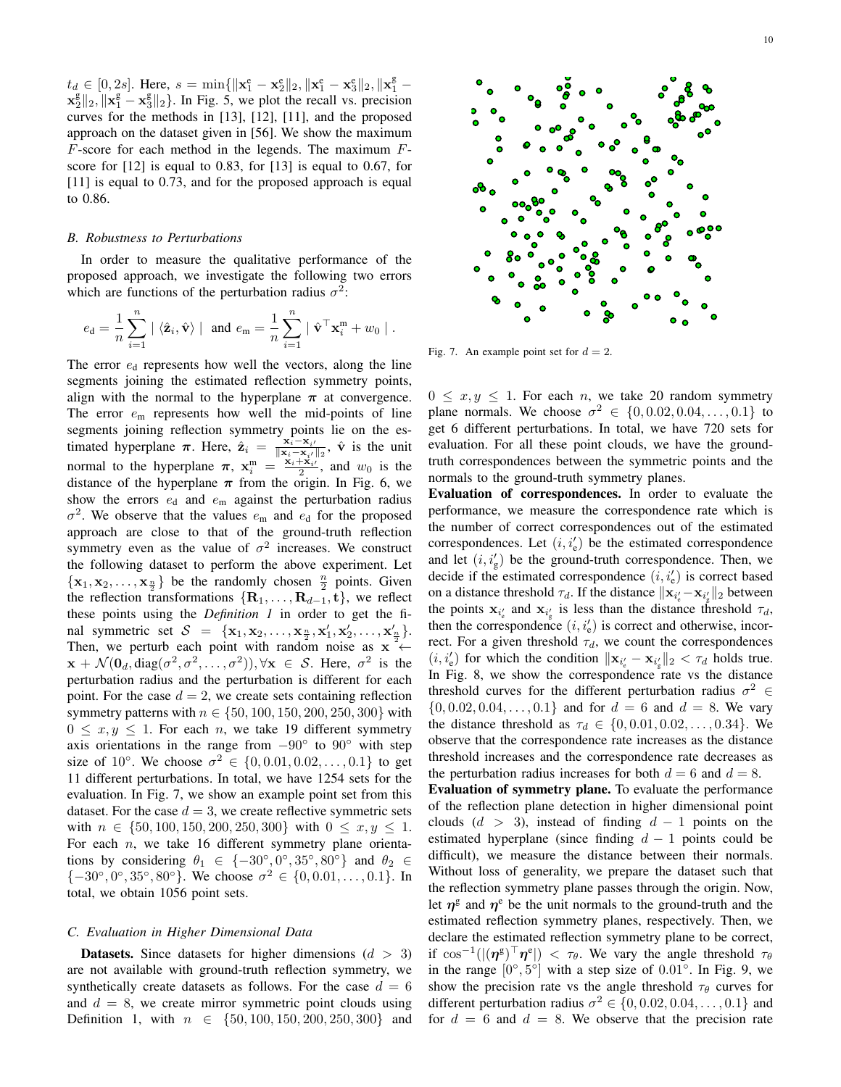$t_d \in [0, 2s]$ . Here,  $s = \min\{\|\mathbf{x}_1^e - \mathbf{x}_2^e\|_2, \|\mathbf{x}_1^e - \mathbf{x}_3^e\|_2, \|\mathbf{x}_1^g \mathbf{x}_{2}^{\text{g}}\Vert_{2}$ ,  $\Vert \mathbf{x}_{1}^{\text{g}} - \mathbf{x}_{3}^{\text{g}}\Vert_{2}$ . In Fig. 5, we plot the recall vs. precision curves for the methods in [13], [12], [11], and the proposed approach on the dataset given in [56]. We show the maximum  $F$ -score for each method in the legends. The maximum  $F$ score for [12] is equal to 0.83, for [13] is equal to 0.67, for [11] is equal to 0.73, and for the proposed approach is equal to 0.86.

#### *B. Robustness to Perturbations*

In order to measure the qualitative performance of the proposed approach, we investigate the following two errors which are functions of the perturbation radius  $\sigma^2$ :

$$
e_{\mathbf{d}} = \frac{1}{n} \sum_{i=1}^{n} | \langle \hat{\mathbf{z}}_i, \hat{\mathbf{v}} \rangle | \text{ and } e_{\mathbf{m}} = \frac{1}{n} \sum_{i=1}^{n} | \hat{\mathbf{v}}^\top \mathbf{x}_i^{\mathbf{m}} + w_0 |.
$$

The error  $e_d$  represents how well the vectors, along the line segments joining the estimated reflection symmetry points, align with the normal to the hyperplane  $\pi$  at convergence. The error  $e_m$  represents how well the mid-points of line segments joining reflection symmetry points lie on the estimated hyperplane  $\pi$ . Here,  $\hat{\mathbf{z}}_i = \frac{\mathbf{x}_i - \mathbf{x}_{i'}}{\|\mathbf{x}_i - \mathbf{x}_{i'}\|_2}$ ,  $\hat{\mathbf{v}}$  is the unit normal to the hyperplane  $\pi$ ,  $\mathbf{x}_i^{\text{m}} = \frac{\mathbf{x}_i + \mathbf{x}_i}{2}$ , and  $w_0$  is the distance of the hyperplane  $\pi$  from the origin. In Fig. 6, we show the errors  $e_d$  and  $e_m$  against the perturbation radius  $\sigma^2$ . We observe that the values  $e_m$  and  $e_d$  for the proposed approach are close to that of the ground-truth reflection symmetry even as the value of  $\sigma^2$  increases. We construct the following dataset to perform the above experiment. Let  $\{x_1, x_2, \ldots, x_{\frac{n}{2}}\}$  be the randomly chosen  $\frac{n}{2}$  points. Given the reflection transformations  $\{R_1, \ldots, R_{d-1}, t\}$ , we reflect these points using the *Definition 1* in order to get the final symmetric set  $S = {\mathbf{x}_1, \mathbf{x}_2, \dots, \mathbf{x}_{\frac{n}{2}}, \mathbf{x}'_1, \mathbf{x}'_2, \dots, \mathbf{x}'_{\frac{n}{2}}}.$ Then, we perturb each point with random noise as  $x \leftarrow$  $\mathbf{x} + \mathcal{N}(\mathbf{0}_d, \text{diag}(\sigma^2, \sigma^2, \dots, \sigma^2)), \forall \mathbf{x} \in \mathcal{S}$ . Here,  $\sigma^2$  is the perturbation radius and the perturbation is different for each point. For the case  $d = 2$ , we create sets containing reflection symmetry patterns with  $n \in \{50, 100, 150, 200, 250, 300\}$  with  $0 \leq x, y \leq 1$ . For each *n*, we take 19 different symmetry axis orientations in the range from  $-90°$  to  $90°$  with step size of 10°. We choose  $\sigma^2 \in \{0, 0.01, 0.02, ..., 0.1\}$  to get 11 different perturbations. In total, we have 1254 sets for the evaluation. In Fig. 7, we show an example point set from this dataset. For the case  $d = 3$ , we create reflective symmetric sets with  $n \in \{50, 100, 150, 200, 250, 300\}$  with  $0 \le x, y \le 1$ . For each  $n$ , we take 16 different symmetry plane orientations by considering  $\theta_1 \in \{-30^\circ, 0^\circ, 35^\circ, 80^\circ\}$  and  $\theta_2 \in$  $\{-30^\circ, 0^\circ, 35^\circ, 80^\circ\}$ . We choose  $\sigma^2 \in \{0, 0.01, \ldots, 0.1\}$ . In total, we obtain 1056 point sets.

#### *C. Evaluation in Higher Dimensional Data*

**Datasets.** Since datasets for higher dimensions  $(d > 3)$ are not available with ground-truth reflection symmetry, we synthetically create datasets as follows. For the case  $d = 6$ and  $d = 8$ , we create mirror symmetric point clouds using Definition 1, with  $n \in \{50, 100, 150, 200, 250, 300\}$  and



Fig. 7. An example point set for  $d = 2$ .

 $0 \leq x, y \leq 1$ . For each *n*, we take 20 random symmetry plane normals. We choose  $\sigma^2 \in \{0, 0.02, 0.04, ..., 0.1\}$  to get 6 different perturbations. In total, we have 720 sets for evaluation. For all these point clouds, we have the groundtruth correspondences between the symmetric points and the normals to the ground-truth symmetry planes.

Evaluation of correspondences. In order to evaluate the performance, we measure the correspondence rate which is the number of correct correspondences out of the estimated correspondences. Let  $(i, i'_e)$  be the estimated correspondence and let  $(i, i'_g)$  be the ground-truth correspondence. Then, we decide if the estimated correspondence  $(i, i'_e)$  is correct based on a distance threshold  $\tau_d$ . If the distance  $\|\mathbf{x}_{i_e'} - \mathbf{x}_{i_g'}\|_2$  between the points  $\mathbf{x}_{i'_g}$  and  $\mathbf{x}_{i'_g}$  is less than the distance threshold  $\tau_d$ , then the correspondence  $(i, i'_e)$  is correct and otherwise, incorrect. For a given threshold  $\tau_d$ , we count the correspondences  $(i, i'_e)$  for which the condition  $\|\mathbf{x}_{i'_e} - \mathbf{x}_{i'_g}\|_2 < \tau_d$  holds true. In Fig. 8, we show the correspondence rate vs the distance threshold curves for the different perturbation radius  $\sigma^2 \in$  $\{0, 0.02, 0.04, \ldots, 0.1\}$  and for  $d = 6$  and  $d = 8$ . We vary the distance threshold as  $\tau_d \in \{0, 0.01, 0.02, ..., 0.34\}$ . We observe that the correspondence rate increases as the distance threshold increases and the correspondence rate decreases as the perturbation radius increases for both  $d = 6$  and  $d = 8$ .

Evaluation of symmetry plane. To evaluate the performance of the reflection plane detection in higher dimensional point clouds  $(d > 3)$ , instead of finding  $d - 1$  points on the estimated hyperplane (since finding  $d - 1$  points could be difficult), we measure the distance between their normals. Without loss of generality, we prepare the dataset such that the reflection symmetry plane passes through the origin. Now, let  $\eta^g$  and  $\eta^e$  be the unit normals to the ground-truth and the estimated reflection symmetry planes, respectively. Then, we declare the estimated reflection symmetry plane to be correct, if  $\cos^{-1}((\eta^g)^\top \eta^e) < \tau_\theta$ . We vary the angle threshold  $\tau_\theta$ in the range  $[0^\circ, 5^\circ]$  with a step size of  $0.01^\circ$ . In Fig. 9, we show the precision rate vs the angle threshold  $\tau_{\theta}$  curves for different perturbation radius  $\sigma^2 \in \{0, 0.02, 0.04, \ldots, 0.1\}$  and for  $d = 6$  and  $d = 8$ . We observe that the precision rate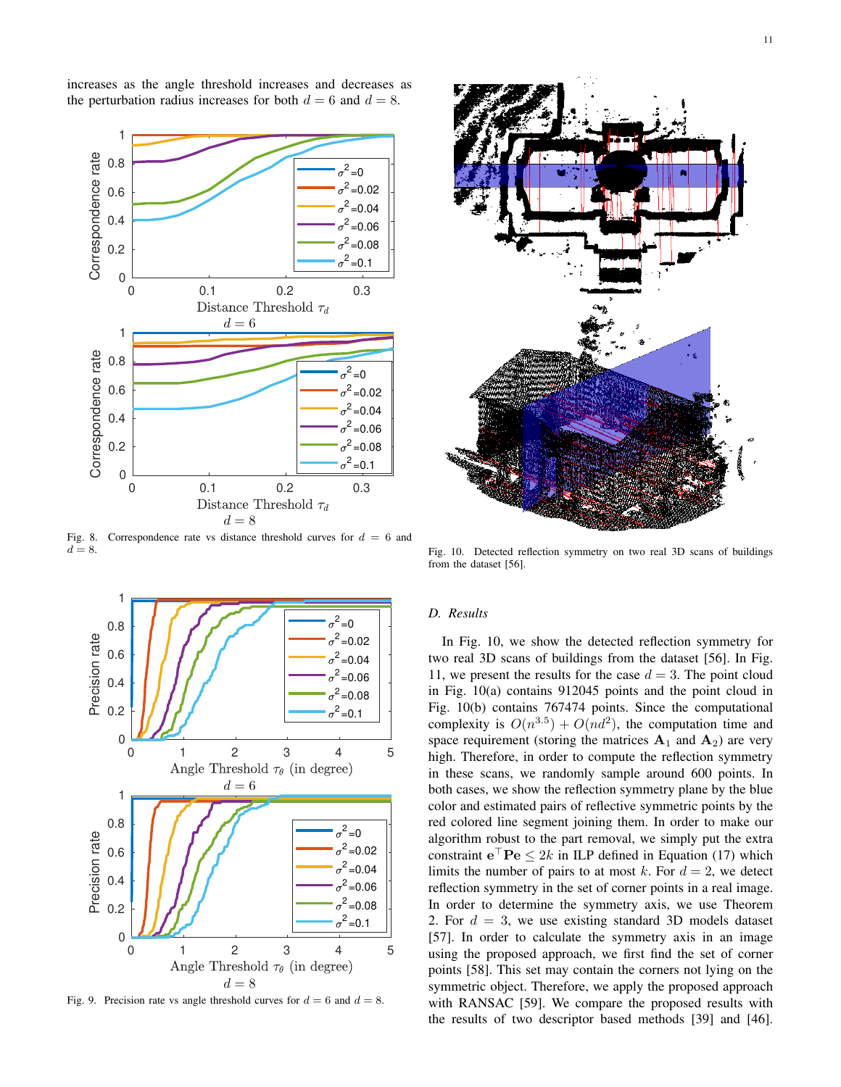increases as the angle threshold increases and decreases as the perturbation radius increases for both  $d = 6$  and  $d = 8$ .



Fig. 8. Correspondence rate vs distance threshold curves for  $d = 6$  and  $d = 8$ .



Fig. 9. Precision rate vs angle threshold curves for  $d = 6$  and  $d = 8$ .



Fig. 10. Detected reflection symmetry on two real 3D scans of buildings from the dataset [56].

## *D. Results*

In Fig. 10, we show the detected reflection symmetry for two real 3D scans of buildings from the dataset [56]. In Fig. 11, we present the results for the case  $d = 3$ . The point cloud in Fig. 10(a) contains 912045 points and the point cloud in Fig. 10(b) contains 767474 points. Since the computational complexity is  $O(n^{3.5}) + O(n d^2)$ , the computation time and space requirement (storing the matrices  $A_1$  and  $A_2$ ) are very high. Therefore, in order to compute the reflection symmetry in these scans, we randomly sample around 600 points. In both cases, we show the reflection symmetry plane by the blue color and estimated pairs of reflective symmetric points by the red colored line segment joining them. In order to make our algorithm robust to the part removal, we simply put the extra constraint  $e^{\top}$ **P** $e \leq 2k$  in ILP defined in Equation (17) which limits the number of pairs to at most k. For  $d = 2$ , we detect reflection symmetry in the set of corner points in a real image. In order to determine the symmetry axis, we use Theorem 2. For  $d = 3$ , we use existing standard 3D models dataset [57]. In order to calculate the symmetry axis in an image using the proposed approach, we first find the set of corner points [58]. This set may contain the corners not lying on the symmetric object. Therefore, we apply the proposed approach with RANSAC [59]. We compare the proposed results with the results of two descriptor based methods [39] and [46].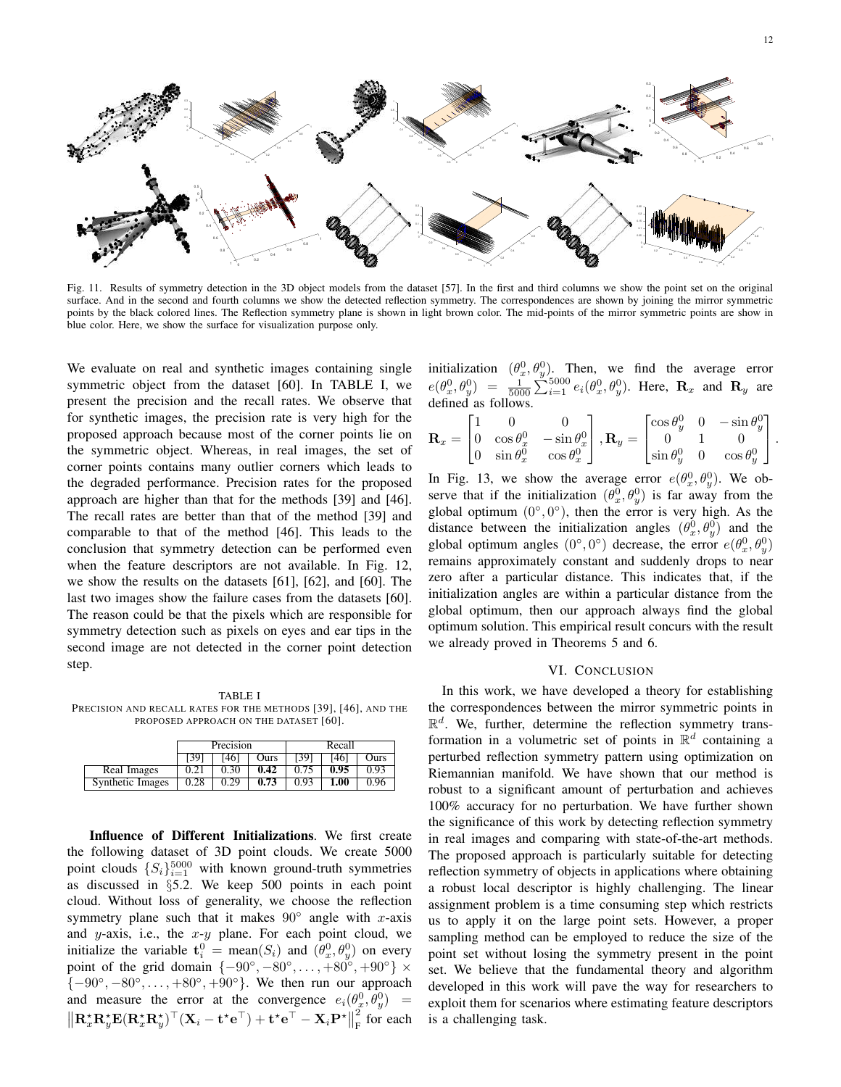

Fig. 11. Results of symmetry detection in the 3D object models from the dataset [57]. In the first and third columns we show the point set on the original surface. And in the second and fourth columns we show the detected reflection symmetry. The correspondences are shown by joining the mirror symmetric points by the black colored lines. The Reflection symmetry plane is shown in light brown color. The mid-points of the mirror symmetric points are show in blue color. Here, we show the surface for visualization purpose only.

We evaluate on real and synthetic images containing single symmetric object from the dataset [60]. In TABLE I, we present the precision and the recall rates. We observe that for synthetic images, the precision rate is very high for the proposed approach because most of the corner points lie on the symmetric object. Whereas, in real images, the set of corner points contains many outlier corners which leads to the degraded performance. Precision rates for the proposed approach are higher than that for the methods [39] and [46]. The recall rates are better than that of the method [39] and comparable to that of the method [46]. This leads to the conclusion that symmetry detection can be performed even when the feature descriptors are not available. In Fig. 12, we show the results on the datasets [61], [62], and [60]. The last two images show the failure cases from the datasets [60]. The reason could be that the pixels which are responsible for symmetry detection such as pixels on eyes and ear tips in the second image are not detected in the corner point detection step.

TABLE I PRECISION AND RECALL RATES FOR THE METHODS [39], [46], AND THE PROPOSED APPROACH ON THE DATASET [60].

|                  | Precision |      |      | Recall |      |      |
|------------------|-----------|------|------|--------|------|------|
|                  | 139       | 461  | Ours | [39]   | [46] | Ours |
| Real Images      | 0.21      | 0.30 | 0.42 |        | 0.95 | 0.93 |
| Synthetic Images | 0.28      | 0.29 | 0.73 | 0.93   | 1.00 | 0.96 |

Influence of Different Initializations. We first create the following dataset of 3D point clouds. We create 5000 point clouds  $\{S_i\}_{i=1}^{5000}$  with known ground-truth symmetries as discussed in §5.2. We keep 500 points in each point cloud. Without loss of generality, we choose the reflection symmetry plane such that it makes  $90^\circ$  angle with x-axis and y-axis, i.e., the  $x-y$  plane. For each point cloud, we initialize the variable  $\mathbf{t}_i^0 = \text{mean}(S_i)$  and  $(\theta_x^0, \theta_y^0)$  on every point of the grid domain  $\{-90^\circ, -80^\circ, \dots, +80^\circ, +90^\circ\} \times$  $\{-90^\circ, -80^\circ, \ldots, +80^\circ, +90^\circ\}$ . We then run our approach and measure the error at the convergence  $e_i(\theta_x^0, \theta_y^0)$  =  $\left\|\mathbf{R}_x^{\star} \mathbf{R}_y^{\star} \mathbf{E} (\mathbf{R}_x^{\star} \mathbf{R}_y^{\star})^{\top} (\mathbf{X}_i - \mathbf{t}^{\star} \mathbf{e}^{\top}) + \mathbf{t}^{\star} \mathbf{e}^{\top} - \mathbf{X}_i \mathbf{P}^{\star}\right\|$ 2  $\int_{F}^{2}$  for each initialization  $(\theta_x^0, \theta_y^0)$ . Then, we find the average error  $e(\theta_x^0, \theta_y^0) = \frac{1}{5000} \sum_{i=1}^{5000} e_i(\theta_x^0, \theta_y^0)$ . Here,  $\mathbf{R}_x$  and  $\mathbf{R}_y$  are defined as follows.

$$
\mathbf{R}_x = \begin{bmatrix} 1 & 0 & 0 \\ 0 & \cos \theta_x^0 & -\sin \theta_x^0 \\ 0 & \sin \theta_x^0 & \cos \theta_x^0 \end{bmatrix}, \mathbf{R}_y = \begin{bmatrix} \cos \theta_y^0 & 0 & -\sin \theta_y^0 \\ 0 & 1 & 0 \\ \sin \theta_y^0 & 0 & \cos \theta_y^0 \end{bmatrix}.
$$

In Fig. 13, we show the average error  $e(\theta_x^0, \theta_y^0)$ . We observe that if the initialization  $(\theta_x^0, \theta_y^0)$  is far away from the global optimum  $(0^{\circ}, 0^{\circ})$ , then the error is very high. As the distance between the initialization angles  $(\theta_x^0, \theta_y^0)$  and the global optimum angles  $(0^{\circ}, 0^{\circ})$  decrease, the error  $e(\theta_x^0, \theta_y^0)$ remains approximately constant and suddenly drops to near zero after a particular distance. This indicates that, if the initialization angles are within a particular distance from the global optimum, then our approach always find the global optimum solution. This empirical result concurs with the result we already proved in Theorems 5 and 6.

## VI. CONCLUSION

In this work, we have developed a theory for establishing the correspondences between the mirror symmetric points in  $\mathbb{R}^d$ . We, further, determine the reflection symmetry transformation in a volumetric set of points in  $\mathbb{R}^d$  containing a perturbed reflection symmetry pattern using optimization on Riemannian manifold. We have shown that our method is robust to a significant amount of perturbation and achieves 100% accuracy for no perturbation. We have further shown the significance of this work by detecting reflection symmetry in real images and comparing with state-of-the-art methods. The proposed approach is particularly suitable for detecting reflection symmetry of objects in applications where obtaining a robust local descriptor is highly challenging. The linear assignment problem is a time consuming step which restricts us to apply it on the large point sets. However, a proper sampling method can be employed to reduce the size of the point set without losing the symmetry present in the point set. We believe that the fundamental theory and algorithm developed in this work will pave the way for researchers to exploit them for scenarios where estimating feature descriptors is a challenging task.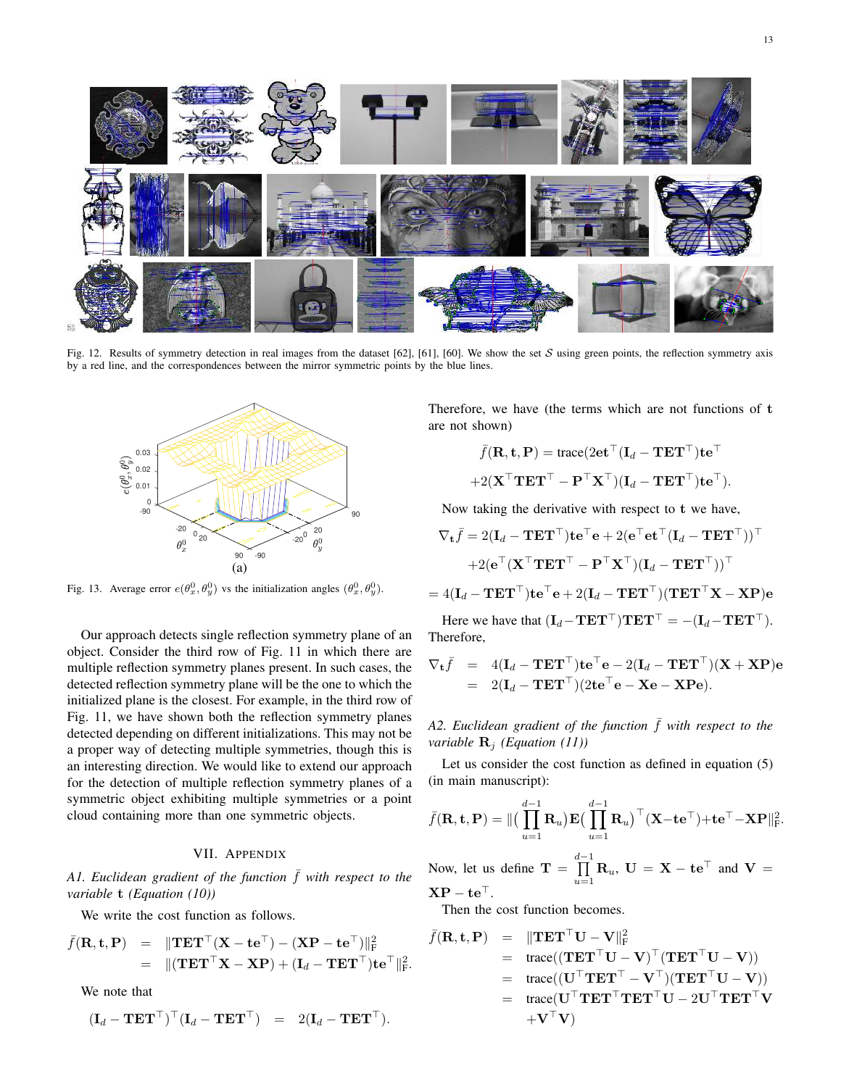Fig. 12. Results of symmetry detection in real images from the dataset [62], [61], [60]. We show the set  $S$  using green points, the reflection symmetry axis by a red line, and the correspondences between the mirror symmetric points by the blue lines.



Fig. 13. Average error  $e(\theta_x^0, \theta_y^0)$  vs the initialization angles  $(\theta_x^0, \theta_y^0)$ .

Our approach detects single reflection symmetry plane of an object. Consider the third row of Fig. 11 in which there are multiple reflection symmetry planes present. In such cases, the detected reflection symmetry plane will be the one to which the initialized plane is the closest. For example, in the third row of Fig. 11, we have shown both the reflection symmetry planes detected depending on different initializations. This may not be a proper way of detecting multiple symmetries, though this is an interesting direction. We would like to extend our approach for the detection of multiple reflection symmetry planes of a symmetric object exhibiting multiple symmetries or a point cloud containing more than one symmetric objects.

# VII. APPENDIX

*A1. Euclidean gradient of the function*  $\bar{f}$  *with respect to the variable* t *(Equation (10))*

We write the cost function as follows.

$$
\begin{array}{rcl}\bar{f}(\mathbf{R}, \mathbf{t}, \mathbf{P}) & = & \Vert \mathbf{T} \mathbf{E} \mathbf{T}^\top (\mathbf{X} - \mathbf{t} \mathbf{e}^\top) - (\mathbf{X} \mathbf{P} - \mathbf{t} \mathbf{e}^\top) \Vert_F^2 \\ & = & \Vert (\mathbf{T} \mathbf{E} \mathbf{T}^\top \mathbf{X} - \mathbf{X} \mathbf{P}) + (\mathbf{I}_d - \mathbf{T} \mathbf{E} \mathbf{T}^\top) \mathbf{t} \mathbf{e}^\top \Vert_F^2.\end{array}
$$

We note that

$$
(\mathbf{I}_d - \mathbf{T} \mathbf{E} \mathbf{T}^\top)^\top (\mathbf{I}_d - \mathbf{T} \mathbf{E} \mathbf{T}^\top) = 2(\mathbf{I}_d - \mathbf{T} \mathbf{E} \mathbf{T}^\top).
$$

Therefore, we have (the terms which are not functions of t are not shown)

$$
\bar{f}(\mathbf{R}, \mathbf{t}, \mathbf{P}) = \text{trace}(2\mathbf{e}\mathbf{t}^\top (\mathbf{I}_d - \mathbf{T}\mathbf{E}\mathbf{T}^\top)\mathbf{t}\mathbf{e}^\top + 2(\mathbf{X}^\top \mathbf{T}\mathbf{E}\mathbf{T}^\top - \mathbf{P}^\top \mathbf{X}^\top)(\mathbf{I}_d - \mathbf{T}\mathbf{E}\mathbf{T}^\top)\mathbf{t}\mathbf{e}^\top).
$$

Now taking the derivative with respect to t we have,

$$
\nabla_{\mathbf{t}}\bar{f} = 2(\mathbf{I}_d - \mathbf{T}\mathbf{E}\mathbf{T}^{\top})\mathbf{t}\mathbf{e}^{\top}\mathbf{e} + 2(\mathbf{e}^{\top}\mathbf{e}\mathbf{t}^{\top}(\mathbf{I}_d - \mathbf{T}\mathbf{E}\mathbf{T}^{\top}))^{\top}
$$

$$
+ 2(\mathbf{e}^{\top}(\mathbf{X}^{\top}\mathbf{T}\mathbf{E}\mathbf{T}^{\top} - \mathbf{P}^{\top}\mathbf{X}^{\top})(\mathbf{I}_d - \mathbf{T}\mathbf{E}\mathbf{T}^{\top}))^{\top}
$$

$$
= 4(\mathbf{I}_d - \mathbf{T}\mathbf{E}\mathbf{T}^{\top})\mathbf{t}\mathbf{e}^{\top}\mathbf{e} + 2(\mathbf{I}_d - \mathbf{T}\mathbf{E}\mathbf{T}^{\top})(\mathbf{T}\mathbf{E}\mathbf{T}^{\top}\mathbf{X} - \mathbf{X}\mathbf{P})\mathbf{e}
$$

Here we have that  $(\mathbf{I}_d - \mathbf{T} \mathbf{E} \mathbf{T}^\top) \mathbf{T} \mathbf{E} \mathbf{T}^\top = -(\mathbf{I}_d - \mathbf{T} \mathbf{E} \mathbf{T}^\top).$ Therefore,

$$
\nabla_{\mathbf{t}} \overline{f} = 4(\mathbf{I}_d - \mathbf{T} \mathbf{E} \mathbf{T}^\top) \mathbf{t} \mathbf{e}^\top \mathbf{e} - 2(\mathbf{I}_d - \mathbf{T} \mathbf{E} \mathbf{T}^\top) (\mathbf{X} + \mathbf{X} \mathbf{P}) \mathbf{e}
$$
  
= 2(\mathbf{I}\_d - \mathbf{T} \mathbf{E} \mathbf{T}^\top) (2 \mathbf{t} \mathbf{e}^\top \mathbf{e} - \mathbf{X} \mathbf{e} - \mathbf{X} \mathbf{P} \mathbf{e}).

*A2. Euclidean gradient of the function*  $\bar{f}$  *with respect to the variable*  $\mathbf{R}_i$  *(Equation (11))* 

Let us consider the cost function as defined in equation (5) (in main manuscript):

$$
\bar{f}(\mathbf{R}, \mathbf{t}, \mathbf{P}) = ||\left(\prod_{u=1}^{d-1} \mathbf{R}_u\right) \mathbf{E}\left(\prod_{u=1}^{d-1} \mathbf{R}_u\right)^\top (\mathbf{X} - \mathbf{t} \mathbf{e}^\top) + \mathbf{t} \mathbf{e}^\top - \mathbf{X} \mathbf{P}||^2_{\mathrm{F}}.
$$

Now, let us define  $\mathbf{T} = \prod^{d-1}$  $\prod_{u=1}$  **R**<sub>u</sub>, **U** = **X** – **te**<sup>T</sup> and **V** =  $XP - te^{\top}.$ 

Then the cost function becomes.

$$
\begin{array}{rcl} \bar{f}(\mathbf{R}, \mathbf{t}, \mathbf{P}) & = & \|\mathbf{T} \mathbf{E} \mathbf{T}^\top \mathbf{U} - \mathbf{V} \|^2_{\mathrm{F}} \\ & = & \text{trace}((\mathbf{T} \mathbf{E} \mathbf{T}^\top \mathbf{U} - \mathbf{V})^\top (\mathbf{T} \mathbf{E} \mathbf{T}^\top \mathbf{U} - \mathbf{V})) \\ & = & \text{trace}((\mathbf{U}^\top \mathbf{T} \mathbf{E} \mathbf{T}^\top - \mathbf{V}^\top)(\mathbf{T} \mathbf{E} \mathbf{T}^\top \mathbf{U} - \mathbf{V})) \\ & = & \text{trace}(\mathbf{U}^\top \mathbf{T} \mathbf{E} \mathbf{T}^\top \mathbf{T} \mathbf{E} \mathbf{T}^\top \mathbf{U} - 2\mathbf{U}^\top \mathbf{T} \mathbf{E} \mathbf{T}^\top \mathbf{V} \\ & + \mathbf{V}^\top \mathbf{V}) \end{array}
$$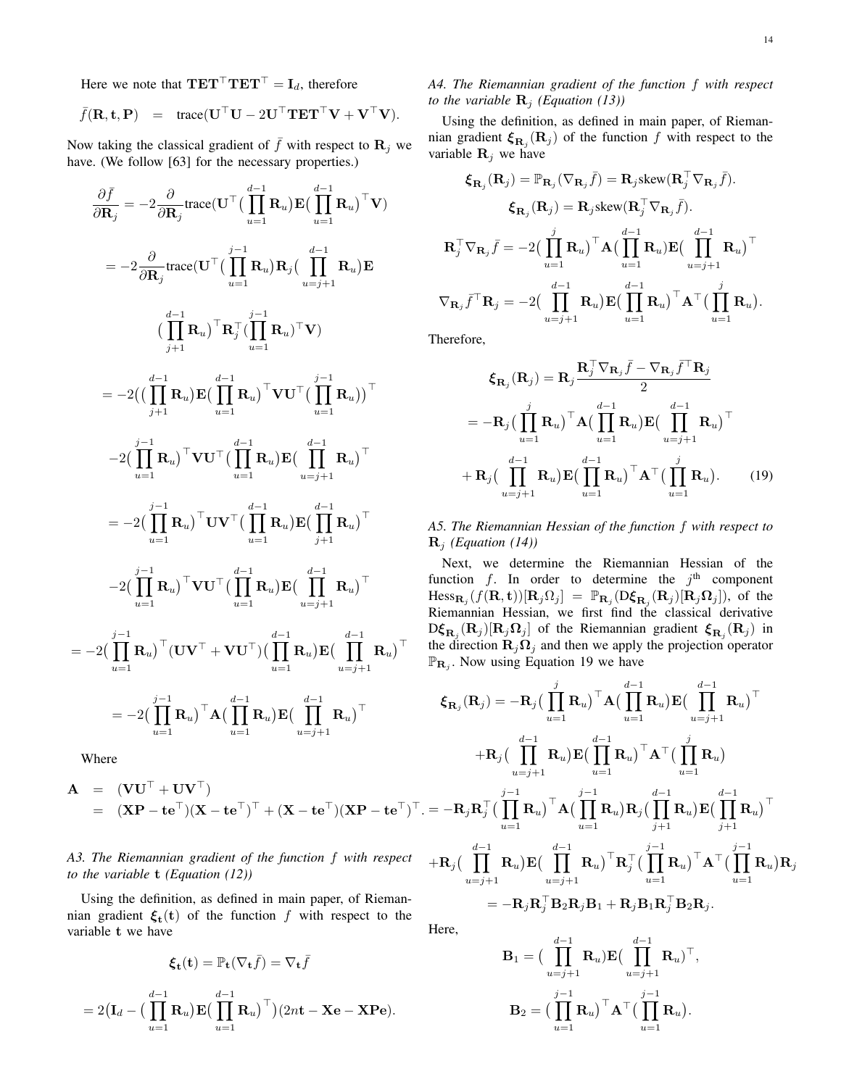Here we note that  $TET^{\top}TET^{\top} = I_d$ , therefore

$$
\bar{f}(\mathbf{R}, \mathbf{t}, \mathbf{P}) = \text{trace}(\mathbf{U}^\top \mathbf{U} - 2\mathbf{U}^\top \mathbf{T} \mathbf{E} \mathbf{T}^\top \mathbf{V} + \mathbf{V}^\top \mathbf{V}).
$$

Now taking the classical gradient of  $\bar{f}$  with respect to  $\mathbf{R}_j$  we have. (We follow [63] for the necessary properties.)

$$
\frac{\partial \bar{f}}{\partial \mathbf{R}_{j}} = -2 \frac{\partial}{\partial \mathbf{R}_{j}} \text{trace}(\mathbf{U}^{\top}(\prod_{u=1}^{d-1} \mathbf{R}_{u}) \mathbf{E}(\prod_{u=1}^{d-1} \mathbf{R}_{u})^{\top} \mathbf{V})
$$
\n
$$
= -2 \frac{\partial}{\partial \mathbf{R}_{j}} \text{trace}(\mathbf{U}^{\top}(\prod_{u=1}^{j-1} \mathbf{R}_{u}) \mathbf{R}_{j}(\prod_{u=j+1}^{d-1} \mathbf{R}_{u}) \mathbf{E}
$$
\n
$$
(\prod_{j+1}^{d-1} \mathbf{R}_{u})^{\top} \mathbf{R}_{j}^{\top}(\prod_{u=1}^{j-1} \mathbf{R}_{u})^{\top} \mathbf{V})
$$
\n
$$
= -2((\prod_{j+1}^{d-1} \mathbf{R}_{u}) \mathbf{E}(\prod_{u=1}^{d-1} \mathbf{R}_{u})^{\top} \mathbf{V} \mathbf{U}^{\top}(\prod_{u=1}^{j-1} \mathbf{R}_{u}))^{\top}
$$
\n
$$
-2(\prod_{u=1}^{j-1} \mathbf{R}_{u})^{\top} \mathbf{V} \mathbf{U}^{\top}(\prod_{u=1}^{d-1} \mathbf{R}_{u}) \mathbf{E}(\prod_{u=j+1}^{d-1} \mathbf{R}_{u})^{\top}
$$
\n
$$
= -2(\prod_{u=1}^{j-1} \mathbf{R}_{u})^{\top} \mathbf{U} \mathbf{V}^{\top}(\prod_{u=1}^{d-1} \mathbf{R}_{u}) \mathbf{E}(\prod_{u=j+1}^{d-1} \mathbf{R}_{u})^{\top}
$$
\n
$$
-2(\prod_{u=1}^{j-1} \mathbf{R}_{u})^{\top} \mathbf{V} \mathbf{U}^{\top}(\prod_{u=1}^{d-1} \mathbf{R}_{u}) \mathbf{E}(\prod_{u=j+1}^{d-1} \mathbf{R}_{u})^{\top}
$$
\n
$$
-2(\prod_{u=1}^{j-1} \mathbf{R}_{u})^{\top} (\mathbf{U} \mathbf{V}^{\top} + \mathbf{V} \mathbf{U}^{\top})(
$$

Where

= −2

$$
\mathbf{A} = (\mathbf{V}\mathbf{U}^{\top} + \mathbf{U}\mathbf{V}^{\top})
$$
  
= (\mathbf{X}\mathbf{P} - \mathbf{t}\mathbf{e}^{\top})(\mathbf{X} - \mathbf{t}\mathbf{e}^{\top})^{\top} + (\mathbf{X} - \mathbf{t}\mathbf{e}^{\top})(\mathbf{X}\mathbf{P} - \mathbf{t}\mathbf{e}^{\top})^{\top}.

# *A3. The Riemannian gradient of the function* f *with respect to the variable* t *(Equation (12))*

Using the definition, as defined in main paper, of Riemannian gradient  $\xi_t(t)$  of the function f with respect to the variable t we have

$$
\boldsymbol{\xi}_{\mathbf{t}}(\mathbf{t}) = \mathbb{P}_{\mathbf{t}}(\nabla_{\mathbf{t}}\bar{f}) = \nabla_{\mathbf{t}}\bar{f}
$$

$$
= 2(\mathbf{I}_d - (\prod_{u=1}^{d-1} \mathbf{R}_u) \mathbf{E} (\prod_{u=1}^{d-1} \mathbf{R}_u)^{\top})(2n\mathbf{t} - \mathbf{X}\mathbf{e} - \mathbf{X}\mathbf{P}\mathbf{e}).
$$

*A4. The Riemannian gradient of the function* f *with respect to the variable*  $\mathbf{R}_i$  *(Equation (13))* 

Using the definition, as defined in main paper, of Riemannian gradient  $\xi_{\mathbf{R}_j}(\mathbf{R}_j)$  of the function f with respect to the variable  $\mathbf{R}_j$  we have

$$
\boldsymbol{\xi}_{\mathbf{R}_{j}}(\mathbf{R}_{j}) = \mathbb{P}_{\mathbf{R}_{j}}(\nabla_{\mathbf{R}_{j}}\bar{f}) = \mathbf{R}_{j} \text{skew}(\mathbf{R}_{j}^{\top} \nabla_{\mathbf{R}_{j}}\bar{f}).
$$

$$
\boldsymbol{\xi}_{\mathbf{R}_{j}}(\mathbf{R}_{j}) = \mathbf{R}_{j} \text{skew}(\mathbf{R}_{j}^{\top} \nabla_{\mathbf{R}_{j}}\bar{f}).
$$

$$
\mathbf{R}_{j}^{\top} \nabla_{\mathbf{R}_{j}}\bar{f} = -2\Big(\prod_{u=1}^{j} \mathbf{R}_{u}\Big)^{\top} \mathbf{A}\Big(\prod_{u=1}^{d-1} \mathbf{R}_{u}\Big) \mathbf{E}\Big(\prod_{u=j+1}^{d-1} \mathbf{R}_{u}\Big)^{\top}
$$

$$
\nabla_{\mathbf{R}_{j}}\bar{f}^{\top} \mathbf{R}_{j} = -2\Big(\prod_{u=j+1}^{d-1} \mathbf{R}_{u}\Big) \mathbf{E}\Big(\prod_{u=1}^{d-1} \mathbf{R}_{u}\Big)^{\top} \mathbf{A}^{\top}\Big(\prod_{u=1}^{j} \mathbf{R}_{u}\Big).
$$

Therefore,

$$
\xi_{\mathbf{R}_{j}}(\mathbf{R}_{j}) = \mathbf{R}_{j} \frac{\mathbf{R}_{j}^{\top} \nabla_{\mathbf{R}_{j}} \bar{f} - \nabla_{\mathbf{R}_{j}} \bar{f}^{\top} \mathbf{R}_{j}}{2}
$$

$$
= -\mathbf{R}_{j} \Big( \prod_{u=1}^{j} \mathbf{R}_{u} \Big)^{\top} \mathbf{A} \Big( \prod_{u=1}^{d-1} \mathbf{R}_{u} \Big) \mathbf{E} \Big( \prod_{u=j+1}^{d-1} \mathbf{R}_{u} \Big)^{\top}
$$

$$
+ \mathbf{R}_{j} \Big( \prod_{u=j+1}^{d-1} \mathbf{R}_{u} \Big) \mathbf{E} \Big( \prod_{u=1}^{d-1} \mathbf{R}_{u} \Big)^{\top} \mathbf{A}^{\top} \Big( \prod_{u=1}^{j} \mathbf{R}_{u} \Big). \tag{19}
$$

*A5. The Riemannian Hessian of the function* f *with respect to*  $\mathbf{R}_i$  *(Equation (14))* 

Next, we determine the Riemannian Hessian of the function f. In order to determine the  $j<sup>th</sup>$  component  $Hess_{\mathbf{R}_j}(f(\mathbf{R}, \mathbf{t}))[\mathbf{R}_j\Omega_j] = \mathbb{P}_{\mathbf{R}_j}(\mathbf{D}\boldsymbol{\xi}_{\mathbf{R}_j}(\mathbf{R}_j)[\mathbf{R}_j\Omega_j]),$  of the Riemannian Hessian, we first find the classical derivative  $\mathrm{D} \xi_{\mathbf{R}_j}(\mathbf{R}_j) [\mathbf{R}_j \mathbf{\Omega}_j]$  of the Riemannian gradient  $\boldsymbol{\xi}_{\mathbf{R}_j}(\mathbf{R}_j)$  in the direction  $\mathbf{R}_j \Omega_j$  and then we apply the projection operator  $\mathbb{P}_{\mathbf{R}_j}$ . Now using Equation 19 we have

$$
\begin{aligned}\n\boldsymbol{\xi}_{\mathbf{R}_{j}}(\mathbf{R}_{j}) &= -\mathbf{R}_{j} \big( \prod_{u=1}^{j} \mathbf{R}_{u} \big)^{\top} \mathbf{A} \big( \prod_{u=1}^{d-1} \mathbf{R}_{u} \big) \mathbf{E} \big( \prod_{u=j+1}^{d-1} \mathbf{R}_{u} \big)^{\top} \\
&+ \mathbf{R}_{j} \big( \prod_{u=j+1}^{d-1} \mathbf{R}_{u} \big) \mathbf{E} \big( \prod_{u=1}^{d-1} \mathbf{R}_{u} \big)^{\top} \mathbf{A}^{\top} \big( \prod_{u=1}^{j} \mathbf{R}_{u} \big) \\
&= -\mathbf{R}_{j} \mathbf{R}_{j}^{\top} \big( \prod_{u=1}^{j-1} \mathbf{R}_{u} \big)^{\top} \mathbf{A} \big( \prod_{u=1}^{j-1} \mathbf{R}_{u} \big) \mathbf{R}_{j} \big( \prod_{j+1}^{d-1} \mathbf{R}_{u} \big) \mathbf{E} \big( \prod_{j+1}^{d-1} \mathbf{R}_{u} \big)^{\top} \\
&+ \mathbf{R}_{j} \big( \prod_{u=j+1}^{d-1} \mathbf{R}_{u} \big) \mathbf{E} \big( \prod_{u=j+1}^{d-1} \mathbf{R}_{u} \big)^{\top} \mathbf{R}_{j}^{\top} \big( \prod_{u=1}^{j-1} \mathbf{R}_{u} \big)^{\top} \mathbf{A}^{\top} \big( \prod_{u=1}^{j-1} \mathbf{R}_{u} \big) \mathbf{R}_{j} \\
&= -\mathbf{R}_{j} \mathbf{R}_{j}^{\top} \mathbf{B}_{2} \mathbf{R}_{j} \mathbf{B}_{1} + \mathbf{R}_{j} \mathbf{B}_{1} \mathbf{R}_{j}^{\top} \mathbf{B}_{2} \mathbf{R}_{j}.\n\end{aligned}
$$

Here,

$$
\mathbf{B}_1 = \left(\prod_{u=j+1}^{d-1} \mathbf{R}_u\right) \mathbf{E} \left(\prod_{u=j+1}^{d-1} \mathbf{R}_u\right)^\top,
$$

$$
\mathbf{B}_2 = \left(\prod_{u=1}^{j-1} \mathbf{R}_u\right)^\top \mathbf{A}^\top \left(\prod_{u=1}^{j-1} \mathbf{R}_u\right).
$$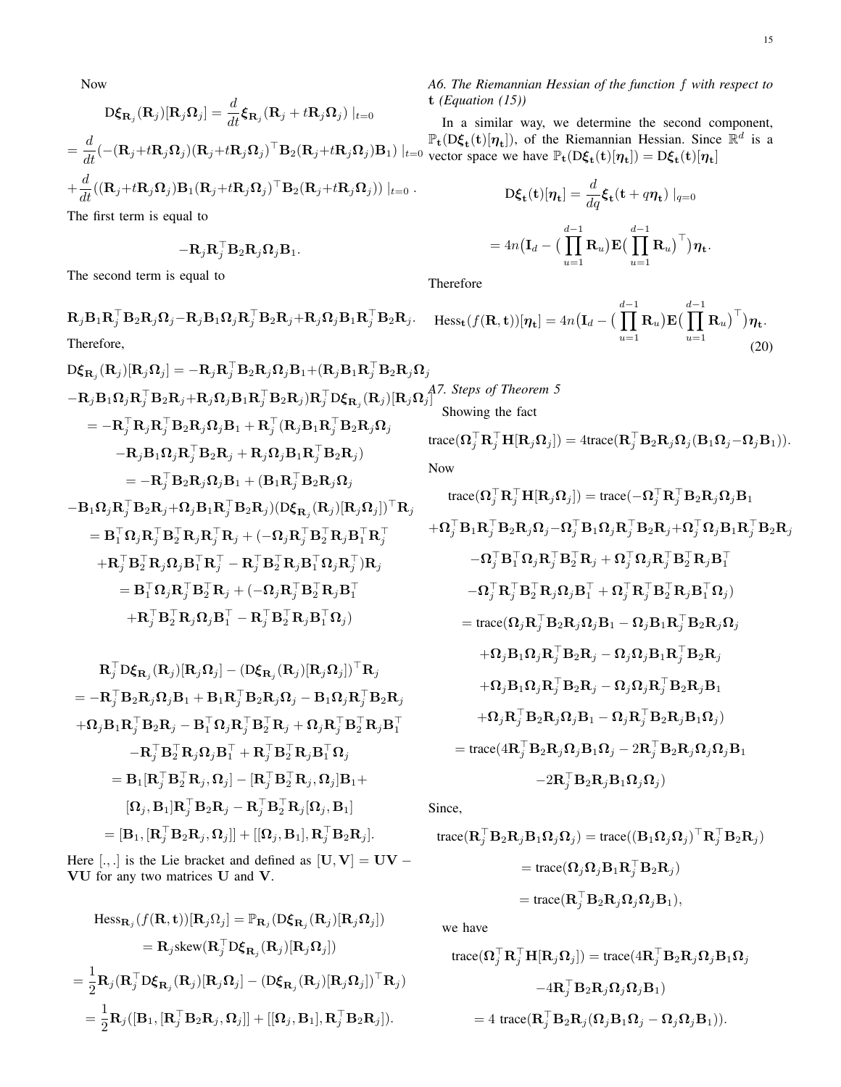Now

$$
D\xi_{\mathbf{R}_j}(\mathbf{R}_j)[\mathbf{R}_j\Omega_j] = \frac{d}{dt}\xi_{\mathbf{R}_j}(\mathbf{R}_j + t\mathbf{R}_j\Omega_j)|_{t=0}
$$
  
= 
$$
\frac{d}{dt}(-(\mathbf{R}_j + t\mathbf{R}_j\Omega_j)(\mathbf{R}_j + t\mathbf{R}_j\Omega_j)^{\top}\mathbf{B}_2(\mathbf{R}_j + t\mathbf{R}_j\Omega_j)\mathbf{B}_1)|_{t=0}
$$
  
+ 
$$
\frac{d}{dt}((\mathbf{R}_j + t\mathbf{R}_j\Omega_j)\mathbf{B}_1(\mathbf{R}_j + t\mathbf{R}_j\Omega_j)^{\top}\mathbf{B}_2(\mathbf{R}_j + t\mathbf{R}_j\Omega_j))|_{t=0}.
$$

The first term is equal to

$$
-\mathbf{R}_j\mathbf{R}_j^{\top}\mathbf{B}_2\mathbf{R}_j\boldsymbol{\Omega}_j\mathbf{B}_1.
$$

The second term is equal to

 $\mathbf{R}_j \mathbf{B}_1 \mathbf{R}_j^\top \mathbf{B}_2 \mathbf{R}_j \mathbf{\Omega}_j - \mathbf{R}_j \mathbf{B}_1 \mathbf{\Omega}_j \mathbf{R}_j^\top \mathbf{B}_2 \mathbf{R}_j + \mathbf{R}_j \mathbf{\Omega}_j \mathbf{B}_1 \mathbf{R}_j^\top \mathbf{B}_2 \mathbf{R}_j.$ Therefore,

$$
D\xi_{\mathbf{R}_{j}}(\mathbf{R}_{j})[\mathbf{R}_{j}\Omega_{j}] = -\mathbf{R}_{j}\mathbf{R}_{j}^{\top}\mathbf{B}_{2}\mathbf{R}_{j}\Omega_{j}\mathbf{B}_{1} + (\mathbf{R}_{j}\mathbf{B}_{1}\mathbf{R}_{j}^{\top}\mathbf{B}_{2}\mathbf{R}_{j}\Omega_{j}
$$

$$
-\mathbf{R}_{j}\mathbf{B}_{1}\Omega_{j}\mathbf{R}_{j}^{\top}\mathbf{B}_{2}\mathbf{R}_{j} + \mathbf{R}_{j}\Omega_{j}\mathbf{B}_{1}\mathbf{R}_{j}^{\top}\mathbf{B}_{2}\mathbf{R}_{j})\mathbf{R}_{j}^{\top}D\xi_{\mathbf{R}_{j}}(\mathbf{R}_{j})[\mathbf{R}_{j}\Omega_{j}^{\top}]
$$

$$
= -\mathbf{R}_{j}^{\top}\mathbf{R}_{j}\mathbf{R}_{j}^{\top}\mathbf{B}_{2}\mathbf{R}_{j}\Omega_{j}\mathbf{B}_{1} + \mathbf{R}_{j}^{\top}(\mathbf{R}_{j}\mathbf{B}_{1}\mathbf{R}_{j}^{\top}\mathbf{B}_{2}\mathbf{R}_{j}\Omega_{j}
$$

$$
-\mathbf{R}_{j}\mathbf{B}_{1}\Omega_{j}\mathbf{R}_{j}^{\top}\mathbf{B}_{2}\mathbf{R}_{j} + \mathbf{R}_{j}\Omega_{j}\mathbf{B}_{1}\mathbf{R}_{j}^{\top}\mathbf{B}_{2}\mathbf{R}_{j})
$$

$$
= -\mathbf{R}_{j}^{\top}\mathbf{B}_{2}\mathbf{R}_{j}\Omega_{j}\mathbf{B}_{1} + (\mathbf{B}_{1}\mathbf{R}_{j}^{\top}\mathbf{B}_{2}\mathbf{R}_{j}\Omega_{j})
$$

$$
-\mathbf{B}_{1}\Omega_{j}\mathbf{R}_{j}^{\top}\mathbf{B}_{2}\mathbf{R}_{j} + \Omega_{j}\mathbf{B}_{1}\mathbf{R}_{j}^{\top}\mathbf{B}_{2}\mathbf{R}_{j})(D\xi_{\mathbf{R}_{j}}(\mathbf{R}_{j})[\mathbf{R}_{j}\Omega_{j}])^{\top}\mathbf{R}_{j}
$$

$$
= \mathbf{B}_{1}^{\top}\Omega_{j}\mathbf{R}_{j}^{\top}\mathbf{B}_{2}^{\top}\mathbf{R}_{j}\mathbf{R}_{j}^{\
$$

$$
\mathbf{R}_{j}^{\top}\mathbf{D}\boldsymbol{\xi}_{\mathbf{R}_{j}}(\mathbf{R}_{j})[\mathbf{R}_{j}\boldsymbol{\Omega}_{j}] - (\mathbf{D}\boldsymbol{\xi}_{\mathbf{R}_{j}}(\mathbf{R}_{j})[\mathbf{R}_{j}\boldsymbol{\Omega}_{j}])^{\top}\mathbf{R}_{j}
$$
\n
$$
= -\mathbf{R}_{j}^{\top}\mathbf{B}_{2}\mathbf{R}_{j}\boldsymbol{\Omega}_{j}\mathbf{B}_{1} + \mathbf{B}_{1}\mathbf{R}_{j}^{\top}\mathbf{B}_{2}\mathbf{R}_{j}\boldsymbol{\Omega}_{j} - \mathbf{B}_{1}\boldsymbol{\Omega}_{j}\mathbf{R}_{j}^{\top}\mathbf{B}_{2}\mathbf{R}_{j}
$$
\n
$$
+ \boldsymbol{\Omega}_{j}\mathbf{B}_{1}\mathbf{R}_{j}^{\top}\mathbf{B}_{2}\mathbf{R}_{j} - \mathbf{B}_{1}^{\top}\boldsymbol{\Omega}_{j}\mathbf{R}_{j}^{\top}\mathbf{B}_{2}^{\top}\mathbf{R}_{j} + \boldsymbol{\Omega}_{j}\mathbf{R}_{j}^{\top}\mathbf{B}_{2}^{\top}\mathbf{R}_{j}\mathbf{B}_{1}^{\top}
$$
\n
$$
- \mathbf{R}_{j}^{\top}\mathbf{B}_{2}^{\top}\mathbf{R}_{j}\boldsymbol{\Omega}_{j}\mathbf{B}_{1}^{\top} + \mathbf{R}_{j}^{\top}\mathbf{B}_{2}^{\top}\mathbf{R}_{j}\mathbf{B}_{1}^{\top}\boldsymbol{\Omega}_{j}
$$
\n
$$
= \mathbf{B}_{1}[\mathbf{R}_{j}^{\top}\mathbf{B}_{2}^{\top}\mathbf{R}_{j}, \boldsymbol{\Omega}_{j}] - [\mathbf{R}_{j}^{\top}\mathbf{B}_{2}^{\top}\mathbf{R}_{j}, \boldsymbol{\Omega}_{j}]\mathbf{B}_{1} +
$$
\n
$$
[\mathbf{\Omega}_{j}, \mathbf{B}_{1}]\mathbf{R}_{j}^{\top}\mathbf{B}_{2}\mathbf{R}_{j} - \mathbf{R}_{j}^{\top}\mathbf{B}_{2}^{\top}\mathbf{R}_{j}[\boldsymbol{\Omega}_{j}, \mathbf{B}_{1}]
$$
\n
$$
= [\mathbf{B}_{1}, [\mathbf{R}_{j}^{\top}\mathbf{B}_{2}\mathbf{R}_{j}, \boldsymbol{\Omega}_{j}]] + [[\boldsymbol{\Omega
$$

Here [., .] is the Lie bracket and defined as  $[\mathbf{U}, \mathbf{V}] = \mathbf{U}\mathbf{V} - \mathbf{U}\mathbf{V}$ VU for any two matrices U and V.

$$
\begin{aligned} \operatorname{Hess}_{\mathbf{R}_{j}}(f(\mathbf{R}, \mathbf{t}))[\mathbf{R}_{j}\Omega_{j}] &= \mathbb{P}_{\mathbf{R}_{j}}(\mathbf{D}\boldsymbol{\xi}_{\mathbf{R}_{j}}(\mathbf{R}_{j})[\mathbf{R}_{j}\Omega_{j}]) \\ &= \mathbf{R}_{j}\operatorname{skew}(\mathbf{R}_{j}^{\top}\mathbf{D}\boldsymbol{\xi}_{\mathbf{R}_{j}}(\mathbf{R}_{j})[\mathbf{R}_{j}\Omega_{j}]) \\ &= \frac{1}{2}\mathbf{R}_{j}(\mathbf{R}_{j}^{\top}\mathbf{D}\boldsymbol{\xi}_{\mathbf{R}_{j}}(\mathbf{R}_{j})[\mathbf{R}_{j}\Omega_{j}] - (\mathbf{D}\boldsymbol{\xi}_{\mathbf{R}_{j}}(\mathbf{R}_{j})[\mathbf{R}_{j}\Omega_{j}])^{\top}\mathbf{R}_{j}) \\ &= \frac{1}{2}\mathbf{R}_{j}([\mathbf{B}_{1}, [\mathbf{R}_{j}^{\top}\mathbf{B}_{2}\mathbf{R}_{j}, \Omega_{j}]] + [[\Omega_{j}, \mathbf{B}_{1}], \mathbf{R}_{j}^{\top}\mathbf{B}_{2}\mathbf{R}_{j}]). \end{aligned}
$$

# *A6. The Riemannian Hessian of the function* f *with respect to* t *(Equation (15))*

In a similar way, we determine the second component,  $\mathbb{P}_{t}(D\xi_{t}(t)[\eta_{t}])$ , of the Riemannian Hessian. Since  $\mathbb{R}^{d}$  is a vector space we have  $\mathbb{P}_{t}(D\xi_{t}(t)[\eta_{t}]) = D\xi_{t}(t)[\eta_{t}]$ 

$$
D\xi_{t}(t)[\eta_{t}] = \frac{d}{dq}\xi_{t}(t + q\eta_{t}) |_{q=0}
$$

$$
4n(I_{d} - (\prod_{u=1}^{d-1} R_{u})E(\prod_{u=1}^{d-1} R_{u})^{\top})\eta_{t}.
$$

Therefore

 $=$ 

$$
\text{Hess}_{\mathbf{t}}(f(\mathbf{R}, \mathbf{t}))[\boldsymbol{\eta}_{\mathbf{t}}] = 4n(\mathbf{I}_d - \big(\prod_{u=1}^{d-1} \mathbf{R}_u\big) \mathbf{E}\big(\prod_{u=1}^{d-1} \mathbf{R}_u\big)^{\top}\big)\boldsymbol{\eta}_{\mathbf{t}}.
$$
\n(20)

A7. Steps of Theorem 5  
Showing the fact  
trace(
$$
\mathbf{\Omega}_{j}^{\top} \mathbf{R}_{j}^{\top} \mathbf{H}[\mathbf{R}_{j} \mathbf{\Omega}_{j}]) = 4 \text{trace}(\mathbf{R}_{j}^{\top} \mathbf{B}_{2} \mathbf{R}_{j} \mathbf{\Omega}_{j}(\mathbf{B}_{1} \mathbf{\Omega}_{j} - \mathbf{\Omega}_{j} \mathbf{B}_{1})).
$$

Now

$$
\text{trace}(\mathbf{\Omega}_{j}^{\top}\mathbf{R}_{j}^{\top}\mathbf{H}[\mathbf{R}_{j}\mathbf{\Omega}_{j}]) = \text{trace}(-\mathbf{\Omega}_{j}^{\top}\mathbf{R}_{j}^{\top}\mathbf{B}_{2}\mathbf{R}_{j}\mathbf{\Omega}_{j}\mathbf{B}_{1} \n+ \mathbf{\Omega}_{j}^{\top}\mathbf{B}_{1}\mathbf{R}_{j}^{\top}\mathbf{B}_{2}\mathbf{R}_{j}\mathbf{\Omega}_{j} - \mathbf{\Omega}_{j}^{\top}\mathbf{B}_{1}\mathbf{\Omega}_{j}\mathbf{R}_{j}^{\top}\mathbf{B}_{2}\mathbf{R}_{j} + \mathbf{\Omega}_{j}^{\top}\mathbf{\Omega}_{j}\mathbf{B}_{1}\mathbf{R}_{j}^{\top}\mathbf{B}_{2}\mathbf{R}_{j} \n- \mathbf{\Omega}_{j}^{\top}\mathbf{B}_{1}^{\top}\mathbf{\Omega}_{j}\mathbf{R}_{j}^{\top}\mathbf{B}_{2}^{\top}\mathbf{R}_{j} + \mathbf{\Omega}_{j}^{\top}\mathbf{\Omega}_{j}\mathbf{R}_{j}^{\top}\mathbf{B}_{2}^{\top}\mathbf{R}_{j}\mathbf{B}_{1}^{\top} \n- \mathbf{\Omega}_{j}^{\top}\mathbf{R}_{j}^{\top}\mathbf{B}_{2}^{\top}\mathbf{R}_{j}\mathbf{\Omega}_{j}\mathbf{B}_{1}^{\top} + \mathbf{\Omega}_{j}^{\top}\mathbf{R}_{j}^{\top}\mathbf{B}_{2}^{\top}\mathbf{R}_{j}\mathbf{B}_{1}^{\top}\mathbf{\Omega}_{j} \n= \text{trace}(\mathbf{\Omega}_{j}\mathbf{R}_{j}^{\top}\mathbf{B}_{2}\mathbf{R}_{j}\mathbf{\Omega}_{j}\mathbf{B}_{1} - \mathbf{\Omega}_{j}\mathbf{B}_{1}\mathbf{R}_{j}^{\top}\mathbf{B}_{2}\mathbf{R}_{j}\mathbf{\Omega}_{j} \n+ \mathbf{\Omega}_{j}\mathbf{B}_{1}\mathbf{\Omega}_{j}\mathbf{R}_{j}^{\top}\mathbf{B}_{2}\mathbf{R}_{j} - \mathbf{\Omega}_{j}\mathbf{\Omega}_{j}\mathbf{B}_{1}\mathbf{R}_{j}^{\top}\mathbf{B}_{2}\mathbf{R}_{j} \n+ \mathbf{\Omega}_{j}\mathbf{B}_{1}\mathbf{\Omega}_{j}\mathbf{R}_{j}^{\top}\mathbf
$$

Since,

$$
trace(\mathbf{R}_{j}^{\top} \mathbf{B}_{2} \mathbf{R}_{j} \mathbf{B}_{1} \mathbf{\Omega}_{j} \mathbf{\Omega}_{j}) = trace((\mathbf{B}_{1} \mathbf{\Omega}_{j} \mathbf{\Omega}_{j})^{\top} \mathbf{R}_{j}^{\top} \mathbf{B}_{2} \mathbf{R}_{j})
$$
  
= trace( $(\mathbf{\Omega}_{j} \mathbf{\Omega}_{j} \mathbf{B}_{1} \mathbf{R}_{j}^{\top} \mathbf{B}_{2} \mathbf{R}_{j})$   
= trace( $(\mathbf{R}_{j}^{\top} \mathbf{B}_{2} \mathbf{R}_{j} \mathbf{\Omega}_{j} \mathbf{\Omega}_{j} \mathbf{B}_{1}),$ 

we have

$$
\begin{aligned} \text{trace}(\boldsymbol{\Omega}_{j}^{\top}\mathbf{R}_{j}^{\top}\mathbf{H}[\mathbf{R}_{j}\boldsymbol{\Omega}_{j}]) & = \text{trace}(\mathbf{4}\mathbf{R}_{j}^{\top}\mathbf{B}_{2}\mathbf{R}_{j}\boldsymbol{\Omega}_{j}\mathbf{B}_{1}\boldsymbol{\Omega}_{j} \\ & \quad - 4\mathbf{R}_{j}^{\top}\mathbf{B}_{2}\mathbf{R}_{j}\boldsymbol{\Omega}_{j}\boldsymbol{\Omega}_{j}\mathbf{B}_{1}) \\ & = 4\text{ trace}(\mathbf{R}_{j}^{\top}\mathbf{B}_{2}\mathbf{R}_{j}(\boldsymbol{\Omega}_{j}\mathbf{B}_{1}\boldsymbol{\Omega}_{j}-\boldsymbol{\Omega}_{j}\boldsymbol{\Omega}_{j}\mathbf{B}_{1})). \end{aligned}
$$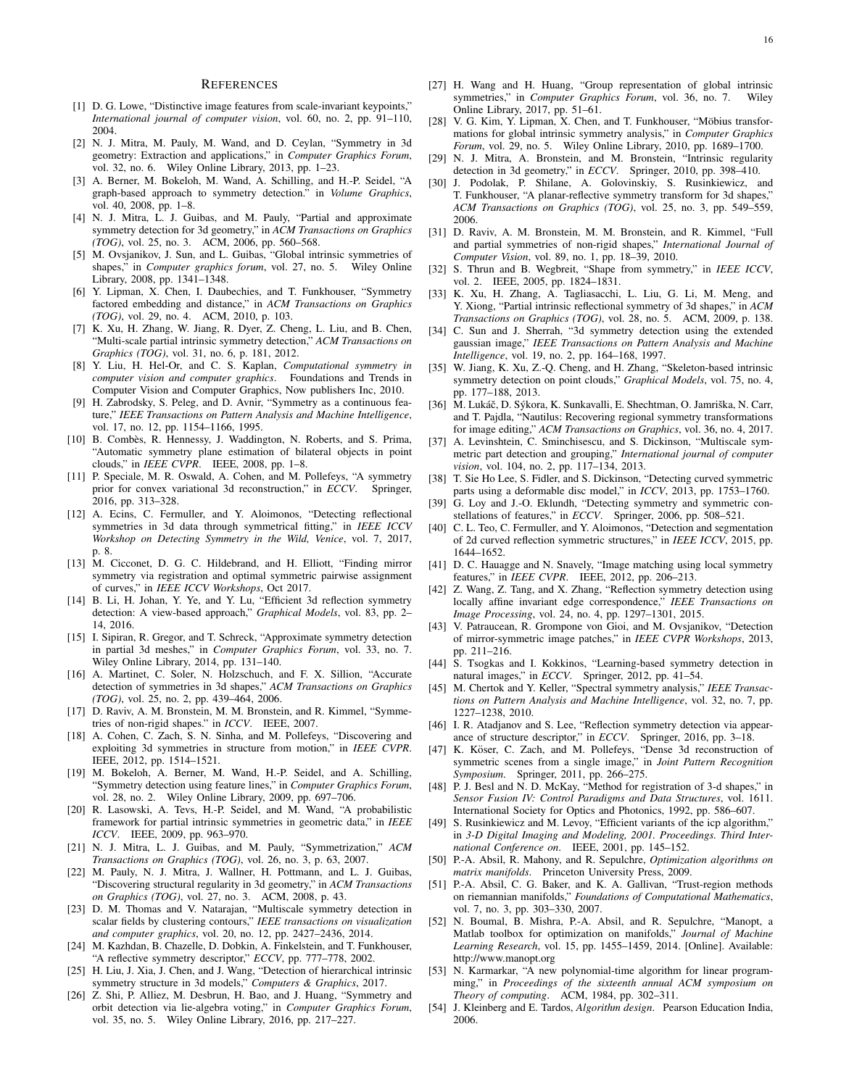#### **REFERENCES**

- [1] D. G. Lowe, "Distinctive image features from scale-invariant keypoints," *International journal of computer vision*, vol. 60, no. 2, pp. 91–110, 2004.
- [2] N. J. Mitra, M. Pauly, M. Wand, and D. Ceylan, "Symmetry in 3d geometry: Extraction and applications," in *Computer Graphics Forum*, vol. 32, no. 6. Wiley Online Library, 2013, pp. 1–23.
- [3] A. Berner, M. Bokeloh, M. Wand, A. Schilling, and H.-P. Seidel, "A graph-based approach to symmetry detection." in *Volume Graphics*, vol. 40, 2008, pp. 1–8.
- [4] N. J. Mitra, L. J. Guibas, and M. Pauly, "Partial and approximate symmetry detection for 3d geometry," in *ACM Transactions on Graphics (TOG)*, vol. 25, no. 3. ACM, 2006, pp. 560–568.
- [5] M. Ovsjanikov, J. Sun, and L. Guibas, "Global intrinsic symmetries of shapes," in *Computer graphics forum*, vol. 27, no. 5. Wiley Online Library, 2008, pp. 1341–1348.
- [6] Y. Lipman, X. Chen, I. Daubechies, and T. Funkhouser, "Symmetry factored embedding and distance," in *ACM Transactions on Graphics (TOG)*, vol. 29, no. 4. ACM, 2010, p. 103.
- [7] K. Xu, H. Zhang, W. Jiang, R. Dyer, Z. Cheng, L. Liu, and B. Chen, "Multi-scale partial intrinsic symmetry detection," *ACM Transactions on Graphics (TOG)*, vol. 31, no. 6, p. 181, 2012.
- [8] Y. Liu, H. Hel-Or, and C. S. Kaplan, *Computational symmetry in computer vision and computer graphics*. Foundations and Trends in Computer Vision and Computer Graphics, Now publishers Inc, 2010.
- [9] H. Zabrodsky, S. Peleg, and D. Avnir, "Symmetry as a continuous feature," *IEEE Transactions on Pattern Analysis and Machine Intelligence*, vol. 17, no. 12, pp. 1154–1166, 1995.
- [10] B. Combès, R. Hennessy, J. Waddington, N. Roberts, and S. Prima, "Automatic symmetry plane estimation of bilateral objects in point clouds," in *IEEE CVPR*. IEEE, 2008, pp. 1–8.
- [11] P. Speciale, M. R. Oswald, A. Cohen, and M. Pollefeys, "A symmetry prior for convex variational 3d reconstruction," in *ECCV*. Springer, 2016, pp. 313–328.
- [12] A. Ecins, C. Fermuller, and Y. Aloimonos, "Detecting reflectional symmetries in 3d data through symmetrical fitting," in *IEEE ICCV Workshop on Detecting Symmetry in the Wild, Venice*, vol. 7, 2017, p. 8.
- [13] M. Cicconet, D. G. C. Hildebrand, and H. Elliott, "Finding mirror symmetry via registration and optimal symmetric pairwise assignment of curves," in *IEEE ICCV Workshops*, Oct 2017.
- [14] B. Li, H. Johan, Y. Ye, and Y. Lu, "Efficient 3d reflection symmetry detection: A view-based approach," *Graphical Models*, vol. 83, pp. 2– 14, 2016.
- [15] I. Sipiran, R. Gregor, and T. Schreck, "Approximate symmetry detection in partial 3d meshes," in *Computer Graphics Forum*, vol. 33, no. 7. Wiley Online Library, 2014, pp. 131–140.
- [16] A. Martinet, C. Soler, N. Holzschuch, and F. X. Sillion, "Accurate detection of symmetries in 3d shapes," *ACM Transactions on Graphics (TOG)*, vol. 25, no. 2, pp. 439–464, 2006.
- [17] D. Raviv, A. M. Bronstein, M. M. Bronstein, and R. Kimmel, "Symmetries of non-rigid shapes." in *ICCV*. IEEE, 2007.
- [18] A. Cohen, C. Zach, S. N. Sinha, and M. Pollefeys, "Discovering and exploiting 3d symmetries in structure from motion," in *IEEE CVPR*. IEEE, 2012, pp. 1514–1521.
- [19] M. Bokeloh, A. Berner, M. Wand, H.-P. Seidel, and A. Schilling, "Symmetry detection using feature lines," in *Computer Graphics Forum*, vol. 28, no. 2. Wiley Online Library, 2009, pp. 697–706.
- [20] R. Lasowski, A. Tevs, H.-P. Seidel, and M. Wand, "A probabilistic framework for partial intrinsic symmetries in geometric data," in *IEEE ICCV*. IEEE, 2009, pp. 963–970.
- [21] N. J. Mitra, L. J. Guibas, and M. Pauly, "Symmetrization," *ACM Transactions on Graphics (TOG)*, vol. 26, no. 3, p. 63, 2007.
- [22] M. Pauly, N. J. Mitra, J. Wallner, H. Pottmann, and L. J. Guibas, "Discovering structural regularity in 3d geometry," in *ACM Transactions on Graphics (TOG)*, vol. 27, no. 3. ACM, 2008, p. 43.
- [23] D. M. Thomas and V. Natarajan, "Multiscale symmetry detection in scalar fields by clustering contours," *IEEE transactions on visualization and computer graphics*, vol. 20, no. 12, pp. 2427–2436, 2014.
- [24] M. Kazhdan, B. Chazelle, D. Dobkin, A. Finkelstein, and T. Funkhouser, "A reflective symmetry descriptor," *ECCV*, pp. 777–778, 2002.
- [25] H. Liu, J. Xia, J. Chen, and J. Wang, "Detection of hierarchical intrinsic symmetry structure in 3d models," *Computers & Graphics*, 2017.
- [26] Z. Shi, P. Alliez, M. Desbrun, H. Bao, and J. Huang, "Symmetry and orbit detection via lie-algebra voting," in *Computer Graphics Forum*, vol. 35, no. 5. Wiley Online Library, 2016, pp. 217–227.
- [27] H. Wang and H. Huang, "Group representation of global intrinsic symmetries," in *Computer Graphics Forum*, vol. 36, no. 7. Wiley Online Library, 2017, pp. 51–61.
- [28] V. G. Kim, Y. Lipman, X. Chen, and T. Funkhouser, "Möbius transformations for global intrinsic symmetry analysis," in *Computer Graphics Forum*, vol. 29, no. 5. Wiley Online Library, 2010, pp. 1689–1700.
- [29] N. J. Mitra, A. Bronstein, and M. Bronstein, "Intrinsic regularity detection in 3d geometry," in *ECCV*. Springer, 2010, pp. 398–410.
- [30] J. Podolak, P. Shilane, A. Golovinskiy, S. Rusinkiewicz, and T. Funkhouser, "A planar-reflective symmetry transform for 3d shapes," *ACM Transactions on Graphics (TOG)*, vol. 25, no. 3, pp. 549–559, 2006.
- [31] D. Raviv, A. M. Bronstein, M. M. Bronstein, and R. Kimmel, "Full and partial symmetries of non-rigid shapes," *International Journal of Computer Vision*, vol. 89, no. 1, pp. 18–39, 2010.
- [32] S. Thrun and B. Wegbreit, "Shape from symmetry," in *IEEE ICCV*, vol. 2. IEEE, 2005, pp. 1824–1831.
- [33] K. Xu, H. Zhang, A. Tagliasacchi, L. Liu, G. Li, M. Meng, and Y. Xiong, "Partial intrinsic reflectional symmetry of 3d shapes," in *ACM Transactions on Graphics (TOG)*, vol. 28, no. 5. ACM, 2009, p. 138.
- [34] C. Sun and J. Sherrah, "3d symmetry detection using the extended gaussian image," *IEEE Transactions on Pattern Analysis and Machine Intelligence*, vol. 19, no. 2, pp. 164–168, 1997.
- [35] W. Jiang, K. Xu, Z.-Q. Cheng, and H. Zhang, "Skeleton-based intrinsic symmetry detection on point clouds," *Graphical Models*, vol. 75, no. 4, pp. 177–188, 2013.
- [36] M. Lukáč, D. Sýkora, K. Sunkavalli, E. Shechtman, O. Jamriška, N. Carr, and T. Pajdla, "Nautilus: Recovering regional symmetry transformations for image editing," *ACM Transactions on Graphics*, vol. 36, no. 4, 2017.
- [37] A. Levinshtein, C. Sminchisescu, and S. Dickinson, "Multiscale symmetric part detection and grouping," *International journal of computer vision*, vol. 104, no. 2, pp. 117–134, 2013.
- [38] T. Sie Ho Lee, S. Fidler, and S. Dickinson, "Detecting curved symmetric parts using a deformable disc model," in *ICCV*, 2013, pp. 1753–1760.
- [39] G. Loy and J.-O. Eklundh, "Detecting symmetry and symmetric constellations of features," in *ECCV*. Springer, 2006, pp. 508–521.
- [40] C. L. Teo, C. Fermuller, and Y. Aloimonos, "Detection and segmentation of 2d curved reflection symmetric structures," in *IEEE ICCV*, 2015, pp. 1644–1652.
- [41] D. C. Hauagge and N. Snavely, "Image matching using local symmetry features," in *IEEE CVPR*. IEEE, 2012, pp. 206–213.
- [42] Z. Wang, Z. Tang, and X. Zhang, "Reflection symmetry detection using locally affine invariant edge correspondence," *IEEE Transactions on Image Processing*, vol. 24, no. 4, pp. 1297–1301, 2015.
- [43] V. Patraucean, R. Grompone von Gioi, and M. Ovsjanikov, "Detection of mirror-symmetric image patches," in *IEEE CVPR Workshops*, 2013, pp. 211–216.
- [44] S. Tsogkas and I. Kokkinos, "Learning-based symmetry detection in natural images," in *ECCV*. Springer, 2012, pp. 41–54.
- [45] M. Chertok and Y. Keller, "Spectral symmetry analysis," *IEEE Transactions on Pattern Analysis and Machine Intelligence*, vol. 32, no. 7, pp. 1227–1238, 2010.
- [46] I. R. Atadjanov and S. Lee, "Reflection symmetry detection via appearance of structure descriptor," in *ECCV*. Springer, 2016, pp. 3–18.
- [47] K. Köser, C. Zach, and M. Pollefeys, "Dense 3d reconstruction of symmetric scenes from a single image," in *Joint Pattern Recognition Symposium*. Springer, 2011, pp. 266–275.
- [48] P. J. Besl and N. D. McKay, "Method for registration of 3-d shapes," in *Sensor Fusion IV: Control Paradigms and Data Structures*, vol. 1611. International Society for Optics and Photonics, 1992, pp. 586–607.
- [49] S. Rusinkiewicz and M. Levoy, "Efficient variants of the icp algorithm," in *3-D Digital Imaging and Modeling, 2001. Proceedings. Third International Conference on*. IEEE, 2001, pp. 145–152.
- [50] P.-A. Absil, R. Mahony, and R. Sepulchre, *Optimization algorithms on matrix manifolds*. Princeton University Press, 2009.
- [51] P.-A. Absil, C. G. Baker, and K. A. Gallivan, "Trust-region methods on riemannian manifolds," *Foundations of Computational Mathematics*, vol. 7, no. 3, pp. 303–330, 2007.
- [52] N. Boumal, B. Mishra, P.-A. Absil, and R. Sepulchre, "Manopt, a Matlab toolbox for optimization on manifolds," *Journal of Machine Learning Research*, vol. 15, pp. 1455–1459, 2014. [Online]. Available: http://www.manopt.org
- [53] N. Karmarkar, "A new polynomial-time algorithm for linear programming," in *Proceedings of the sixteenth annual ACM symposium on Theory of computing*. ACM, 1984, pp. 302–311.
- [54] J. Kleinberg and E. Tardos, *Algorithm design*. Pearson Education India, 2006.